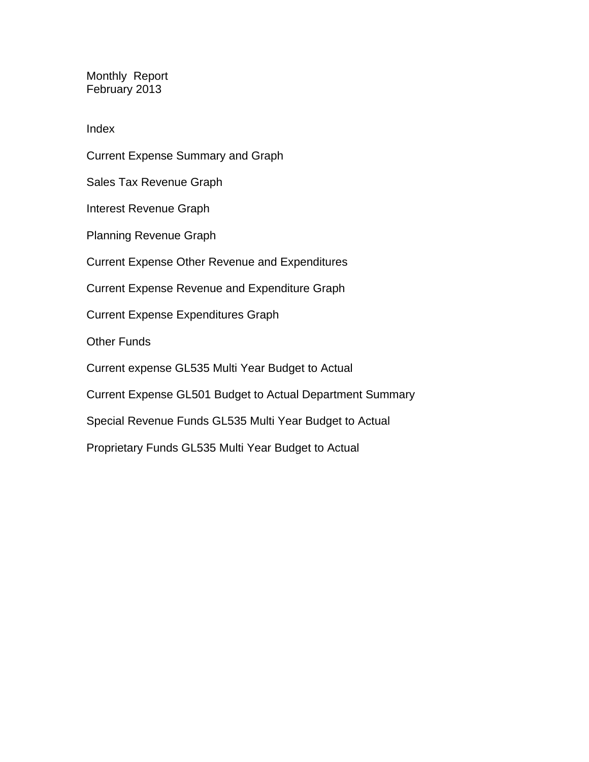Monthly Report February 2013

Index

Current Expense Summary and Graph Sales Tax Revenue Graph Interest Revenue Graph Planning Revenue Graph Current Expense Other Revenue and Expenditures Current Expense Revenue and Expenditure Graph Current Expense Expenditures Graph Other Funds Current expense GL535 Multi Year Budget to Actual Current Expense GL501 Budget to Actual Department Summary Special Revenue Funds GL535 Multi Year Budget to Actual Proprietary Funds GL535 Multi Year Budget to Actual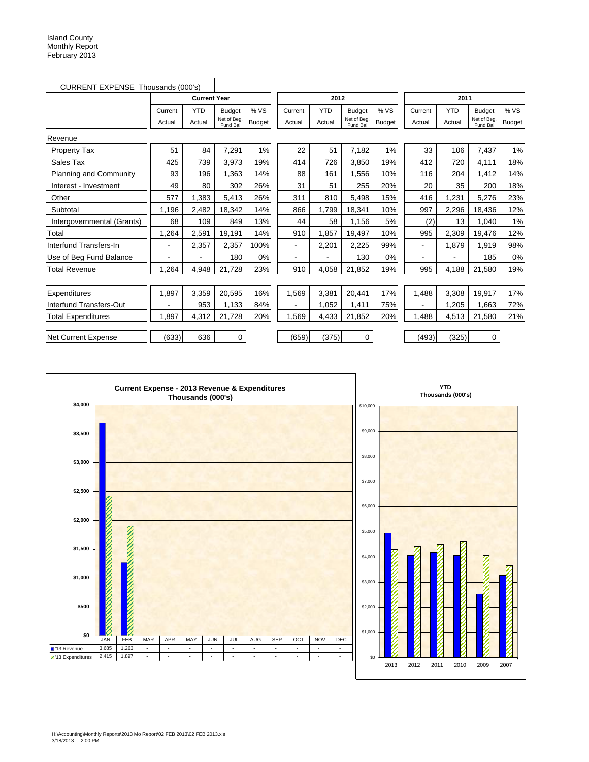| CURRENT EXPENSE Thousands (000's) |                          |                     |                         |               |                |            |                         |               |                |            |                         |               |
|-----------------------------------|--------------------------|---------------------|-------------------------|---------------|----------------|------------|-------------------------|---------------|----------------|------------|-------------------------|---------------|
|                                   |                          | <b>Current Year</b> |                         |               |                | 2012       |                         |               | 2011           |            |                         |               |
|                                   | Current                  | <b>YTD</b>          | <b>Budget</b>           | % VS          | Current        | <b>YTD</b> | <b>Budget</b>           | % VS          | Current        | <b>YTD</b> | <b>Budget</b>           | % VS          |
|                                   | Actual                   | Actual              | Net of Beg.<br>Fund Bal | <b>Budget</b> | Actual         | Actual     | Net of Beg.<br>Fund Bal | <b>Budget</b> | Actual         | Actual     | Net of Beg.<br>Fund Bal | <b>Budget</b> |
| Revenue                           |                          |                     |                         |               |                |            |                         |               |                |            |                         |               |
| Property Tax                      | 51                       | 84                  | 7,291                   | 1%            | 22             | 51         | 7,182                   | 1%            | 33             | 106        | 7,437                   | 1%            |
| Sales Tax                         | 425                      | 739                 | 3,973                   | 19%           | 414            | 726        | 3,850                   | 19%           | 412            | 720        | 4,111                   | 18%           |
| Planning and Community            | 93                       | 196                 | 1.363                   | 14%           | 88             | 161        | 1,556                   | 10%           | 116            | 204        | 1.412                   | 14%           |
| Interest - Investment             | 49                       | 80                  | 302                     | 26%           | 31             | 51         | 255                     | 20%           | 20             | 35         | 200                     | 18%           |
| Other                             | 577                      | 1.383               | 5,413                   | 26%           | 311            | 810        | 5,498                   | 15%           | 416            | 1,231      | 5,276                   | 23%           |
| Subtotal                          | 1,196                    | 2,482               | 18,342                  | 14%           | 866            | 1,799      | 18,341                  | 10%           | 997            | 2,296      | 18,436                  | 12%           |
| Intergovernmental (Grants)        | 68                       | 109                 | 849                     | 13%           | 44             | 58         | 1,156                   | 5%            | (2)            | 13         | 1,040                   | 1%            |
| Total                             | 1,264                    | 2,591               | 19,191                  | 14%           | 910            | 1,857      | 19,497                  | 10%           | 995            | 2,309      | 19,476                  | 12%           |
| Interfund Transfers-In            | $\blacksquare$           | 2,357               | 2,357                   | 100%          | $\blacksquare$ | 2,201      | 2,225                   | 99%           | $\blacksquare$ | 1,879      | 1,919                   | 98%           |
| Use of Beg Fund Balance           | $\overline{\phantom{0}}$ |                     | 180                     | 0%            | ٠              |            | 130                     | 0%            |                |            | 185                     | 0%            |
| <b>Total Revenue</b>              | 1,264                    | 4,948               | 21,728                  | 23%           | 910            | 4,058      | 21,852                  | 19%           | 995            | 4,188      | 21,580                  | 19%           |
|                                   |                          |                     |                         |               |                |            |                         |               |                |            |                         |               |
| Expenditures                      | 1.897                    | 3,359               | 20,595                  | 16%           | 1,569          | 3,381      | 20,441                  | 17%           | 1,488          | 3,308      | 19,917                  | 17%           |
| Interfund Transfers-Out           |                          | 953                 | 1.133                   | 84%           | $\blacksquare$ | 1.052      | 1,411                   | 75%           |                | 1,205      | 1.663                   | 72%           |
| <b>Total Expenditures</b>         | 1,897                    | 4,312               | 21,728                  | 20%           | 1,569          | 4,433      | 21,852                  | 20%           | 1,488          | 4,513      | 21,580                  | 21%           |
|                                   |                          |                     |                         |               |                |            |                         |               |                |            |                         |               |
| Net Current Expense               | (633)                    | 636                 | 0                       |               | (659)          | (375)      | 0                       |               | (493)          | (325)      | 0                       |               |

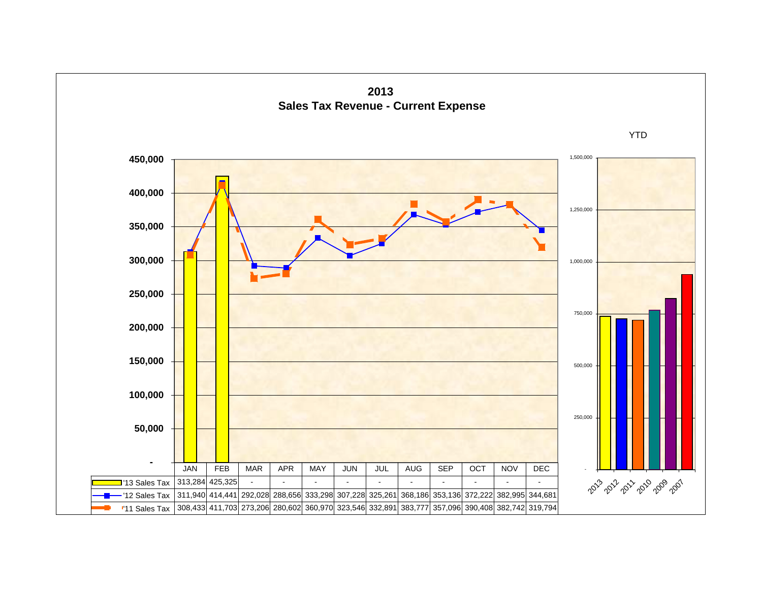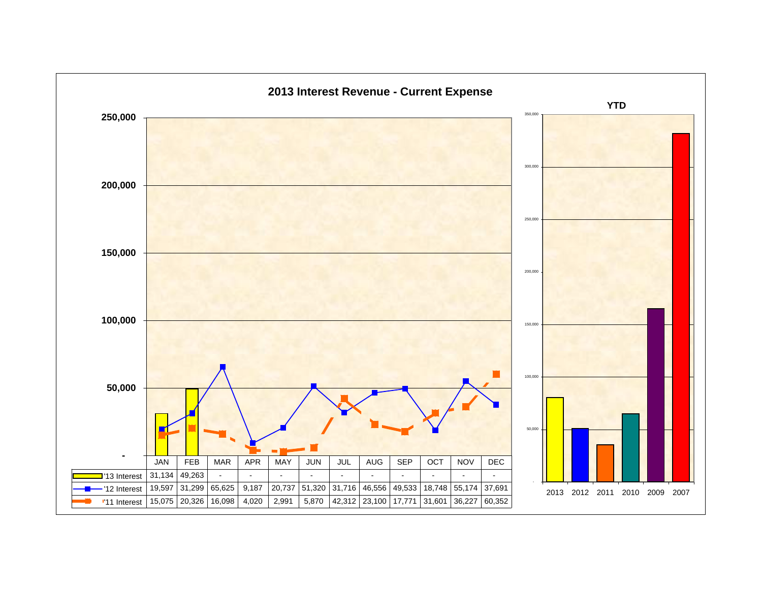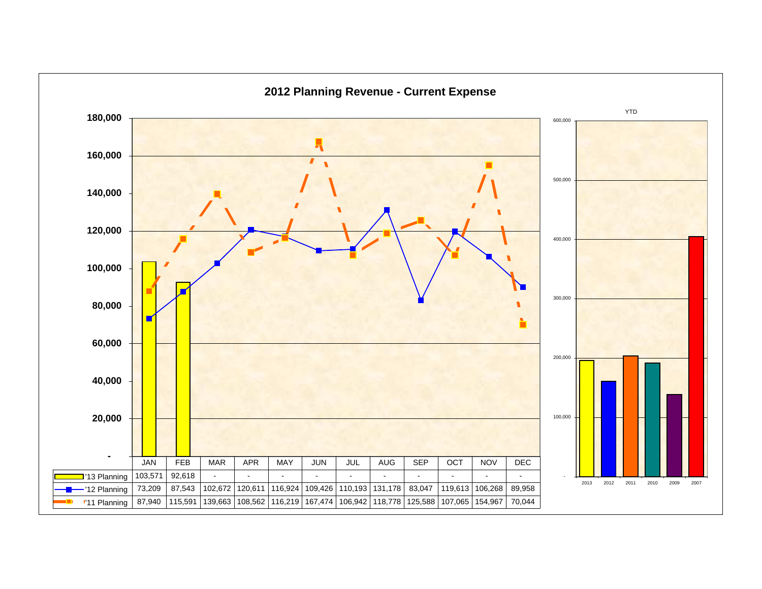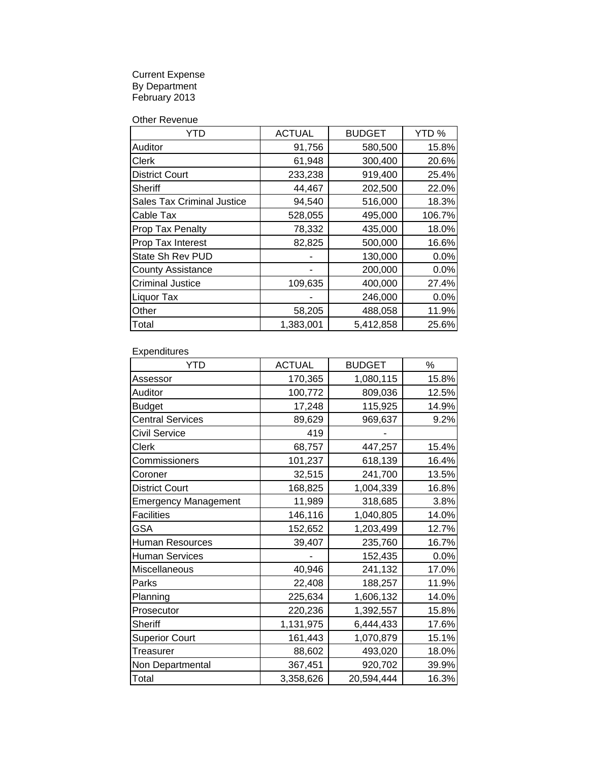Current Expense By Department February 2013

Other Revenue

| Y I D                             | <b>ACTUAL</b> | <b>BUDGET</b> | YTD%   |
|-----------------------------------|---------------|---------------|--------|
| Auditor                           | 91,756        | 580,500       | 15.8%  |
| Clerk                             | 61,948        | 300,400       | 20.6%  |
| <b>District Court</b>             | 233,238       | 919,400       | 25.4%  |
| Sheriff                           | 44,467        | 202,500       | 22.0%  |
| <b>Sales Tax Criminal Justice</b> | 94,540        | 516,000       | 18.3%  |
| Cable Tax                         | 528,055       | 495,000       | 106.7% |
| Prop Tax Penalty                  | 78,332        | 435,000       | 18.0%  |
| Prop Tax Interest                 | 82,825        | 500,000       | 16.6%  |
| State Sh Rev PUD                  |               | 130,000       | 0.0%   |
| <b>County Assistance</b>          |               | 200,000       | 0.0%   |
| <b>Criminal Justice</b>           | 109,635       | 400,000       | 27.4%  |
| Liquor Tax                        |               | 246,000       | 0.0%   |
| Other                             | 58,205        | 488,058       | 11.9%  |
| Total                             | 1,383,001     | 5,412,858     | 25.6%  |

Expenditures

| <b>YTD</b>                  | <b>ACTUAL</b> | <b>BUDGET</b> | $\%$  |
|-----------------------------|---------------|---------------|-------|
| Assessor                    | 170,365       | 1,080,115     | 15.8% |
| Auditor                     | 100,772       | 809,036       | 12.5% |
| <b>Budget</b>               | 17,248        | 115,925       | 14.9% |
| <b>Central Services</b>     | 89,629        | 969,637       | 9.2%  |
| <b>Civil Service</b>        | 419           |               |       |
| Clerk                       | 68,757        | 447,257       | 15.4% |
| Commissioners               | 101,237       | 618,139       | 16.4% |
| Coroner                     | 32,515        | 241,700       | 13.5% |
| <b>District Court</b>       | 168,825       | 1,004,339     | 16.8% |
| <b>Emergency Management</b> | 11,989        | 318,685       | 3.8%  |
| <b>Facilities</b>           | 146,116       | 1,040,805     | 14.0% |
| <b>GSA</b>                  | 152,652       | 1,203,499     | 12.7% |
| <b>Human Resources</b>      | 39,407        | 235,760       | 16.7% |
| <b>Human Services</b>       |               | 152,435       | 0.0%  |
| Miscellaneous               | 40,946        | 241,132       | 17.0% |
| Parks                       | 22,408        | 188,257       | 11.9% |
| Planning                    | 225,634       | 1,606,132     | 14.0% |
| Prosecutor                  | 220,236       | 1,392,557     | 15.8% |
| Sheriff                     | 1,131,975     | 6,444,433     | 17.6% |
| <b>Superior Court</b>       | 161,443       | 1,070,879     | 15.1% |
| <b>Treasurer</b>            | 88,602        | 493,020       | 18.0% |
| Non Departmental            | 367,451       | 920,702       | 39.9% |
| Total                       | 3,358,626     | 20,594,444    | 16.3% |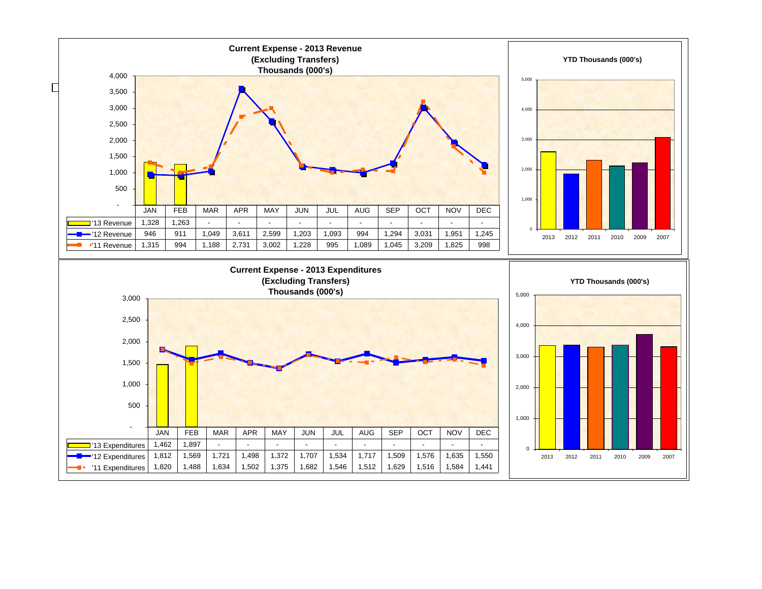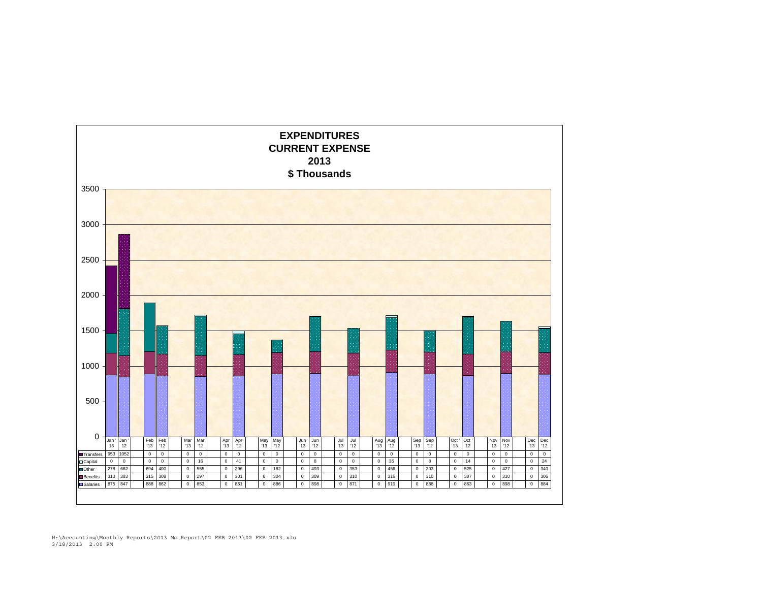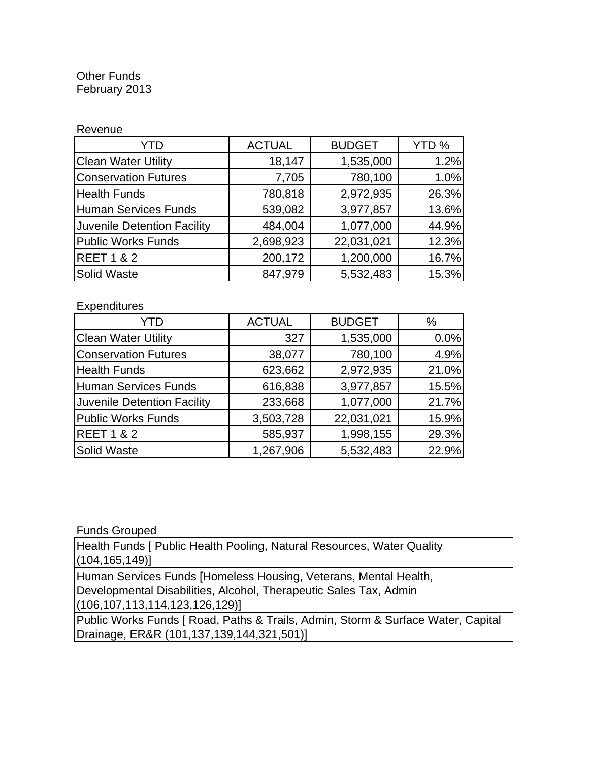#### Other Funds February 2013

| Revenue                     |               |               |       |
|-----------------------------|---------------|---------------|-------|
| YTD                         | <b>ACTUAL</b> | <b>BUDGET</b> | YTD % |
| <b>Clean Water Utility</b>  | 18,147        | 1,535,000     | 1.2%  |
| <b>Conservation Futures</b> | 7,705         | 780,100       | 1.0%  |
| <b>Health Funds</b>         | 780,818       | 2,972,935     | 26.3% |
| <b>Human Services Funds</b> | 539,082       | 3,977,857     | 13.6% |
| Juvenile Detention Facility | 484,004       | 1,077,000     | 44.9% |
| <b>Public Works Funds</b>   | 2,698,923     | 22,031,021    | 12.3% |
| <b>REET 1 &amp; 2</b>       | 200,172       | 1,200,000     | 16.7% |
| Solid Waste                 | 847,979       | 5,532,483     | 15.3% |

#### **Expenditures**

| YTD                                | <b>ACTUAL</b> | <b>BUDGET</b> | %     |
|------------------------------------|---------------|---------------|-------|
| <b>Clean Water Utility</b>         | 327           | 1,535,000     | 0.0%  |
| <b>Conservation Futures</b>        | 38,077        | 780,100       | 4.9%  |
| <b>Health Funds</b>                | 623,662       | 2,972,935     | 21.0% |
| Human Services Funds               | 616,838       | 3,977,857     | 15.5% |
| <b>Juvenile Detention Facility</b> | 233,668       | 1,077,000     | 21.7% |
| <b>Public Works Funds</b>          | 3,503,728     | 22,031,021    | 15.9% |
| <b>REET 1 &amp; 2</b>              | 585,937       | 1,998,155     | 29.3% |
| <b>Solid Waste</b>                 | 1,267,906     | 5,532,483     | 22.9% |

Funds Grouped

Health Funds [ Public Health Pooling, Natural Resources, Water Quality (104,165,149)]

Human Services Funds [Homeless Housing, Veterans, Mental Health, Developmental Disabilities, Alcohol, Therapeutic Sales Tax, Admin (106,107,113,114,123,126,129)]

Public Works Funds [ Road, Paths & Trails, Admin, Storm & Surface Water, Capital Drainage, ER&R (101,137,139,144,321,501)]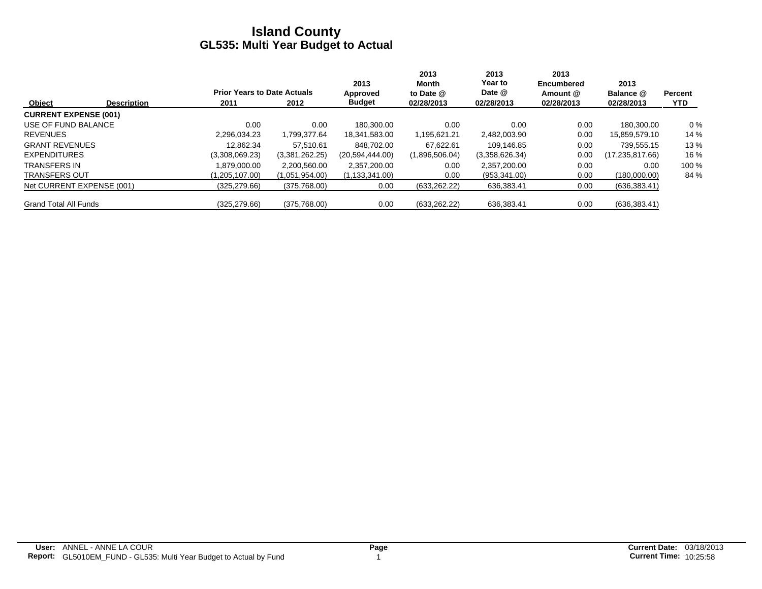|                              |                    |                                    |                | 2013             | 2013<br>Month  | 2013<br>Year to | 2013<br><b>Encumbered</b> | 2013              |                |
|------------------------------|--------------------|------------------------------------|----------------|------------------|----------------|-----------------|---------------------------|-------------------|----------------|
|                              |                    | <b>Prior Years to Date Actuals</b> |                | Approved         | to Date @      | Date @          | Amount @                  | Balance @         | <b>Percent</b> |
| Object                       | <b>Description</b> | 2011                               | 2012           | <b>Budget</b>    | 02/28/2013     | 02/28/2013      | 02/28/2013                | 02/28/2013        | <b>YTD</b>     |
| <b>CURRENT EXPENSE (001)</b> |                    |                                    |                |                  |                |                 |                           |                   |                |
| USE OF FUND BALANCE          |                    | 0.00                               | 0.00           | 180.300.00       | 0.00           | 0.00            | 0.00                      | 180.300.00        | $0\%$          |
| <b>REVENUES</b>              |                    | 2.296.034.23                       | 1.799.377.64   | 18.341.583.00    | 1,195,621.21   | 2.482.003.90    | 0.00                      | 15.859.579.10     | 14 %           |
| <b>GRANT REVENUES</b>        |                    | 12.862.34                          | 57.510.61      | 848.702.00       | 67.622.61      | 109.146.85      | 0.00                      | 739.555.15        | 13 %           |
| <b>EXPENDITURES</b>          |                    | (3,308,069.23)                     | (3,381,262.25) | (20,594,444.00)  | (1,896,506.04) | (3,358,626.34)  | 0.00                      | (17, 235, 817.66) | 16 %           |
| <b>TRANSFERS IN</b>          |                    | 1.879.000.00                       | 2,200,560.00   | 2,357,200.00     | 0.00           | 2,357,200.00    | 0.00                      | 0.00              | 100 %          |
| <b>TRANSFERS OUT</b>         |                    | (1,205,107.00)                     | (1,051,954.00) | (1, 133, 341.00) | 0.00           | (953, 341.00)   | 0.00                      | (180,000.00)      | 84 %           |
| Net CURRENT EXPENSE (001)    |                    | (325, 279.66)                      | (375,768.00)   | 0.00             | (633, 262.22)  | 636,383.41      | 0.00                      | (636, 383.41)     |                |
| <b>Grand Total All Funds</b> |                    | (325.279.66)                       | (375,768.00)   | 0.00             | (633, 262.22)  | 636,383.41      | 0.00                      | (636, 383.41)     |                |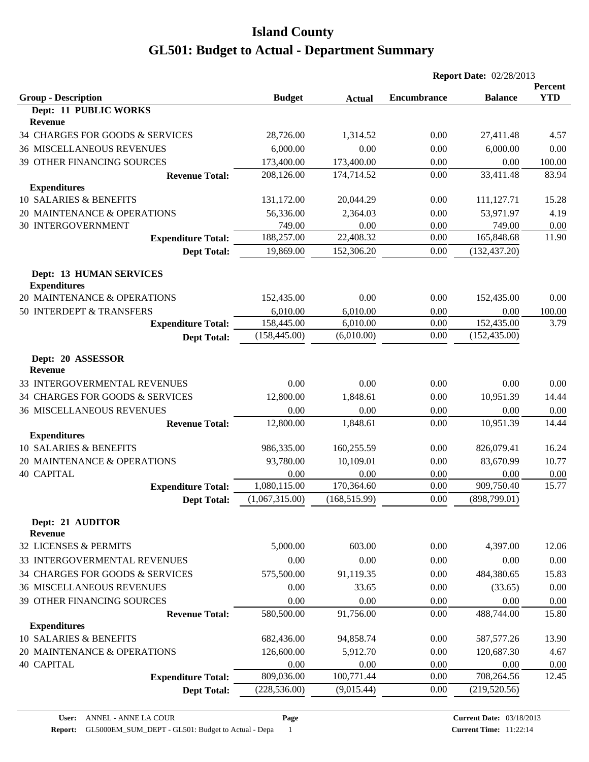|                                                       |                |               | <b>Report Date: 02/28/2013</b> |                |                       |
|-------------------------------------------------------|----------------|---------------|--------------------------------|----------------|-----------------------|
| <b>Group - Description</b>                            | <b>Budget</b>  | <b>Actual</b> | <b>Encumbrance</b>             | <b>Balance</b> | Percent<br><b>YTD</b> |
| Dept: 11 PUBLIC WORKS                                 |                |               |                                |                |                       |
| <b>Revenue</b>                                        |                |               |                                |                |                       |
| 34 CHARGES FOR GOODS & SERVICES                       | 28,726.00      | 1,314.52      | 0.00                           | 27,411.48      | 4.57                  |
| <b>36 MISCELLANEOUS REVENUES</b>                      | 6,000.00       | 0.00          | 0.00                           | 6,000.00       | 0.00                  |
| 39 OTHER FINANCING SOURCES                            | 173,400.00     | 173,400.00    | 0.00                           | 0.00           | 100.00                |
| <b>Revenue Total:</b>                                 | 208,126.00     | 174,714.52    | 0.00                           | 33,411.48      | 83.94                 |
| <b>Expenditures</b>                                   |                |               |                                |                |                       |
| 10 SALARIES & BENEFITS                                | 131,172.00     | 20,044.29     | 0.00                           | 111,127.71     | 15.28                 |
| 20 MAINTENANCE & OPERATIONS                           | 56,336.00      | 2,364.03      | 0.00                           | 53,971.97      | 4.19                  |
| <b>30 INTERGOVERNMENT</b>                             | 749.00         | 0.00          | 0.00                           | 749.00         | 0.00                  |
| <b>Expenditure Total:</b>                             | 188,257.00     | 22,408.32     | 0.00                           | 165,848.68     | 11.90                 |
| <b>Dept Total:</b>                                    | 19,869.00      | 152,306.20    | 0.00                           | (132, 437.20)  |                       |
| <b>Dept: 13 HUMAN SERVICES</b><br><b>Expenditures</b> |                |               |                                |                |                       |
| 20 MAINTENANCE & OPERATIONS                           | 152,435.00     | 0.00          | 0.00                           | 152,435.00     | 0.00                  |
| 50 INTERDEPT & TRANSFERS                              | 6,010.00       | 6,010.00      | 0.00                           | 0.00           | 100.00                |
| <b>Expenditure Total:</b>                             | 158,445.00     | 6,010.00      | 0.00                           | 152,435.00     | 3.79                  |
| <b>Dept Total:</b>                                    | (158, 445.00)  | (6,010.00)    | 0.00                           | (152, 435.00)  |                       |
| Dept: 20 ASSESSOR<br><b>Revenue</b>                   |                |               |                                |                |                       |
| 33 INTERGOVERMENTAL REVENUES                          | 0.00           | 0.00          | 0.00                           | 0.00           | 0.00                  |
| 34 CHARGES FOR GOODS & SERVICES                       | 12,800.00      | 1,848.61      | 0.00                           | 10,951.39      | 14.44                 |
| <b>36 MISCELLANEOUS REVENUES</b>                      | 0.00           | 0.00          | 0.00                           | 0.00           | 0.00                  |
| <b>Revenue Total:</b>                                 | 12,800.00      | 1,848.61      | 0.00                           | 10,951.39      | 14.44                 |
| <b>Expenditures</b>                                   |                |               |                                |                |                       |
| 10 SALARIES & BENEFITS                                | 986,335.00     | 160,255.59    | 0.00                           | 826,079.41     | 16.24                 |
| 20 MAINTENANCE & OPERATIONS                           | 93,780.00      | 10,109.01     | 0.00                           | 83,670.99      | 10.77                 |
| <b>40 CAPITAL</b>                                     | 0.00           | 0.00          | 0.00                           | 0.00           | 0.00                  |
| <b>Expenditure Total:</b>                             | 1,080,115.00   | 170,364.60    | 0.00                           | 909,750.40     | 15.77                 |
| <b>Dept Total:</b>                                    | (1,067,315.00) | (168, 515.99) | 0.00                           | (898,799.01)   |                       |
| Dept: 21 AUDITOR<br><b>Revenue</b>                    |                |               |                                |                |                       |
| 32 LICENSES & PERMITS                                 | 5,000.00       | 603.00        | 0.00                           | 4,397.00       | 12.06                 |
| 33 INTERGOVERMENTAL REVENUES                          | 0.00           | 0.00          | 0.00                           | 0.00           | 0.00                  |
| 34 CHARGES FOR GOODS & SERVICES                       | 575,500.00     | 91,119.35     | 0.00                           | 484,380.65     | 15.83                 |
| <b>36 MISCELLANEOUS REVENUES</b>                      | 0.00           | 33.65         | 0.00                           | (33.65)        | 0.00                  |
| 39 OTHER FINANCING SOURCES                            | 0.00           | 0.00          | 0.00                           | 0.00           | 0.00                  |
| <b>Revenue Total:</b>                                 | 580,500.00     | 91,756.00     | 0.00                           | 488,744.00     | 15.80                 |
| <b>Expenditures</b>                                   |                |               |                                |                |                       |
| 10 SALARIES & BENEFITS                                | 682,436.00     | 94,858.74     | 0.00                           | 587, 577. 26   | 13.90                 |
| 20 MAINTENANCE & OPERATIONS                           | 126,600.00     | 5,912.70      | 0.00                           | 120,687.30     | 4.67                  |
| <b>40 CAPITAL</b>                                     | 0.00           | 0.00          | 0.00                           | 0.00           | 0.00                  |
| <b>Expenditure Total:</b>                             | 809,036.00     | 100,771.44    | 0.00                           | 708,264.56     | 12.45                 |
| <b>Dept Total:</b>                                    | (228, 536.00)  | (9,015.44)    | 0.00                           | (219, 520.56)  |                       |
|                                                       |                |               |                                |                |                       |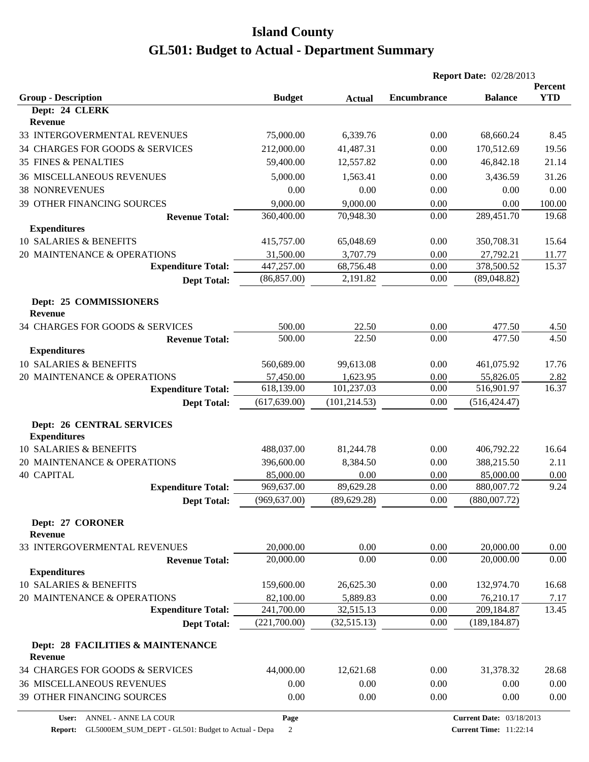|                                              |               |               | <b>Report Date: 02/28/2013</b> |                                 |                       |
|----------------------------------------------|---------------|---------------|--------------------------------|---------------------------------|-----------------------|
| <b>Group - Description</b>                   | <b>Budget</b> | <b>Actual</b> | <b>Encumbrance</b>             | <b>Balance</b>                  | Percent<br><b>YTD</b> |
| Dept: 24 CLERK                               |               |               |                                |                                 |                       |
| Revenue                                      |               |               |                                |                                 |                       |
| 33 INTERGOVERMENTAL REVENUES                 | 75,000.00     | 6,339.76      | 0.00                           | 68,660.24                       | 8.45                  |
| 34 CHARGES FOR GOODS & SERVICES              | 212,000.00    | 41,487.31     | 0.00                           | 170,512.69                      | 19.56                 |
| <b>35 FINES &amp; PENALTIES</b>              | 59,400.00     | 12,557.82     | 0.00                           | 46,842.18                       | 21.14                 |
| <b>36 MISCELLANEOUS REVENUES</b>             | 5,000.00      | 1,563.41      | 0.00                           | 3,436.59                        | 31.26                 |
| <b>38 NONREVENUES</b>                        | 0.00          | 0.00          | 0.00                           | 0.00                            | 0.00                  |
| 39 OTHER FINANCING SOURCES                   | 9,000.00      | 9,000.00      | 0.00                           | 0.00                            | 100.00                |
| <b>Revenue Total:</b>                        | 360,400.00    | 70,948.30     | 0.00                           | 289,451.70                      | 19.68                 |
| <b>Expenditures</b>                          |               |               |                                |                                 |                       |
| 10 SALARIES & BENEFITS                       | 415,757.00    | 65,048.69     | 0.00                           | 350,708.31                      | 15.64                 |
| 20 MAINTENANCE & OPERATIONS                  | 31,500.00     | 3,707.79      | 0.00                           | 27,792.21                       | <u>11.77</u>          |
| <b>Expenditure Total:</b>                    | 447,257.00    | 68,756.48     | 0.00                           | 378,500.52                      | 15.37                 |
| <b>Dept Total:</b>                           | (86, 857.00)  | 2,191.82      | 0.00                           | (89,048.82)                     |                       |
| Dept: 25 COMMISSIONERS<br><b>Revenue</b>     |               |               |                                |                                 |                       |
| 34 CHARGES FOR GOODS & SERVICES              | 500.00        | 22.50         | 0.00                           |                                 |                       |
| <b>Revenue Total:</b>                        | 500.00        | 22.50         | 0.00                           | 477.50<br>477.50                | 4.50<br>4.50          |
| <b>Expenditures</b>                          |               |               |                                |                                 |                       |
| 10 SALARIES & BENEFITS                       | 560,689.00    | 99,613.08     | 0.00                           | 461,075.92                      | 17.76                 |
| 20 MAINTENANCE & OPERATIONS                  | 57,450.00     | 1,623.95      | 0.00                           | 55,826.05                       | 2.82                  |
| <b>Expenditure Total:</b>                    | 618,139.00    | 101,237.03    | 0.00                           | 516,901.97                      | 16.37                 |
| <b>Dept Total:</b>                           | (617, 639.00) | (101, 214.53) | 0.00                           | (516, 424.47)                   |                       |
| <b>Dept: 26 CENTRAL SERVICES</b>             |               |               |                                |                                 |                       |
| <b>Expenditures</b>                          |               |               |                                |                                 |                       |
| 10 SALARIES & BENEFITS                       | 488,037.00    | 81,244.78     | 0.00                           | 406,792.22                      | 16.64                 |
| 20 MAINTENANCE & OPERATIONS                  | 396,600.00    | 8,384.50      | 0.00                           | 388,215.50                      | 2.11                  |
| <b>40 CAPITAL</b>                            | 85,000.00     | 0.00          | 0.00                           | 85,000.00                       | 0.00                  |
| <b>Expenditure Total:</b>                    | 969,637.00    | 89,629.28     | 0.00                           | 880,007.72                      | 9.24                  |
| <b>Dept Total:</b>                           | (969, 637.00) | (89, 629.28)  | 0.00                           | (880,007.72)                    |                       |
| Dept: 27 CORONER<br>Revenue                  |               |               |                                |                                 |                       |
| 33 INTERGOVERMENTAL REVENUES                 | 20,000.00     | 0.00          | 0.00                           | 20,000.00                       | 0.00                  |
| <b>Revenue Total:</b>                        | 20,000.00     | 0.00          | 0.00                           | 20,000.00                       | 0.00                  |
| <b>Expenditures</b>                          |               |               |                                |                                 |                       |
| 10 SALARIES & BENEFITS                       | 159,600.00    | 26,625.30     | 0.00                           | 132,974.70                      | 16.68                 |
| 20 MAINTENANCE & OPERATIONS                  | 82,100.00     | 5,889.83      | 0.00                           | 76,210.17                       | 7.17                  |
| <b>Expenditure Total:</b>                    | 241,700.00    | 32,515.13     | 0.00                           | 209,184.87                      | 13.45                 |
| <b>Dept Total:</b>                           | (221,700.00)  | (32,515.13)   | 0.00                           | (189, 184.87)                   |                       |
| Dept: 28 FACILITIES & MAINTENANCE<br>Revenue |               |               |                                |                                 |                       |
| 34 CHARGES FOR GOODS & SERVICES              | 44,000.00     | 12,621.68     | 0.00                           | 31,378.32                       | 28.68                 |
| <b>36 MISCELLANEOUS REVENUES</b>             | 0.00          | 0.00          | 0.00                           | 0.00                            | 0.00                  |
| 39 OTHER FINANCING SOURCES                   | 0.00          | 0.00          | 0.00                           | 0.00                            | 0.00                  |
| User: ANNEL - ANNE LA COUR                   | Page          |               |                                | <b>Current Date: 03/18/2013</b> |                       |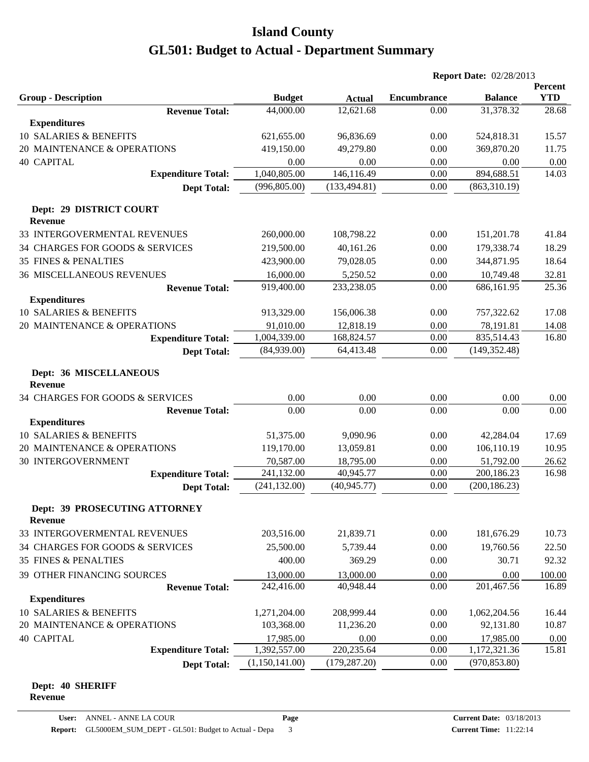|                                                 |                |               |                    | <b>Report Date: 02/28/2013</b> |                       |  |  |
|-------------------------------------------------|----------------|---------------|--------------------|--------------------------------|-----------------------|--|--|
| <b>Group - Description</b>                      | <b>Budget</b>  | <b>Actual</b> | <b>Encumbrance</b> | <b>Balance</b>                 | Percent<br><b>YTD</b> |  |  |
| <b>Revenue Total:</b>                           | 44,000.00      | 12,621.68     | 0.00               | 31,378.32                      | 28.68                 |  |  |
| <b>Expenditures</b>                             |                |               |                    |                                |                       |  |  |
| 10 SALARIES & BENEFITS                          | 621,655.00     | 96,836.69     | 0.00               | 524,818.31                     | 15.57                 |  |  |
| 20 MAINTENANCE & OPERATIONS                     | 419,150.00     | 49,279.80     | 0.00               | 369,870.20                     | 11.75                 |  |  |
| <b>40 CAPITAL</b>                               | 0.00           | 0.00          | 0.00               | 0.00                           | 0.00                  |  |  |
| <b>Expenditure Total:</b>                       | 1,040,805.00   | 146,116.49    | 0.00               | 894,688.51                     | 14.03                 |  |  |
| <b>Dept Total:</b>                              | (996, 805.00)  | (133, 494.81) | 0.00               | (863,310.19)                   |                       |  |  |
| Dept: 29 DISTRICT COURT<br><b>Revenue</b>       |                |               |                    |                                |                       |  |  |
| 33 INTERGOVERMENTAL REVENUES                    | 260,000.00     | 108,798.22    | 0.00               | 151,201.78                     | 41.84                 |  |  |
| 34 CHARGES FOR GOODS & SERVICES                 | 219,500.00     | 40,161.26     | 0.00               | 179,338.74                     | 18.29                 |  |  |
| <b>35 FINES &amp; PENALTIES</b>                 | 423,900.00     | 79,028.05     | 0.00               | 344,871.95                     | 18.64                 |  |  |
| <b>36 MISCELLANEOUS REVENUES</b>                | 16,000.00      | 5,250.52      | 0.00               | 10,749.48                      | 32.81                 |  |  |
| <b>Revenue Total:</b>                           | 919,400.00     | 233,238.05    | 0.00               | 686,161.95                     | 25.36                 |  |  |
| <b>Expenditures</b>                             |                |               |                    |                                |                       |  |  |
| 10 SALARIES & BENEFITS                          | 913,329.00     | 156,006.38    | 0.00               | 757,322.62                     | 17.08                 |  |  |
| 20 MAINTENANCE & OPERATIONS                     | 91,010.00      | 12,818.19     | 0.00               | 78,191.81                      | 14.08                 |  |  |
| <b>Expenditure Total:</b>                       | 1,004,339.00   | 168,824.57    | 0.00               | 835,514.43                     | 16.80                 |  |  |
| <b>Dept Total:</b>                              | (84,939.00)    | 64,413.48     | 0.00               | (149, 352.48)                  |                       |  |  |
| Dept: 36 MISCELLANEOUS<br><b>Revenue</b>        |                |               |                    |                                |                       |  |  |
| 34 CHARGES FOR GOODS & SERVICES                 | 0.00           | 0.00          | 0.00               | 0.00                           | 0.00                  |  |  |
| <b>Revenue Total:</b>                           | 0.00           | 0.00          | 0.00               | 0.00                           | 0.00                  |  |  |
| <b>Expenditures</b>                             |                |               |                    |                                |                       |  |  |
| 10 SALARIES & BENEFITS                          | 51,375.00      | 9,090.96      | 0.00               | 42,284.04                      | 17.69                 |  |  |
| 20 MAINTENANCE & OPERATIONS                     | 119,170.00     | 13,059.81     | 0.00               | 106,110.19                     | 10.95                 |  |  |
| <b>30 INTERGOVERNMENT</b>                       | 70,587.00      | 18,795.00     | 0.00               | 51,792.00                      | 26.62                 |  |  |
| <b>Expenditure Total:</b>                       | 241,132.00     | 40,945.77     | 0.00               | 200,186.23                     | 16.98                 |  |  |
| <b>Dept Total:</b>                              | (241, 132.00)  | (40, 945.77)  | 0.00               | (200, 186.23)                  |                       |  |  |
| Dept: 39 PROSECUTING ATTORNEY<br><b>Revenue</b> |                |               |                    |                                |                       |  |  |
| 33 INTERGOVERMENTAL REVENUES                    | 203,516.00     | 21,839.71     | 0.00               | 181,676.29                     | 10.73                 |  |  |
| 34 CHARGES FOR GOODS & SERVICES                 | 25,500.00      | 5,739.44      | 0.00               | 19,760.56                      | 22.50                 |  |  |
| <b>35 FINES &amp; PENALTIES</b>                 | 400.00         | 369.29        | 0.00               | 30.71                          | 92.32                 |  |  |
| 39 OTHER FINANCING SOURCES                      | 13,000.00      | 13,000.00     | 0.00               | 0.00                           | 100.00                |  |  |
| <b>Revenue Total:</b>                           | 242,416.00     | 40,948.44     | 0.00               | 201,467.56                     | 16.89                 |  |  |
| <b>Expenditures</b>                             |                |               |                    |                                |                       |  |  |
| 10 SALARIES & BENEFITS                          | 1,271,204.00   | 208,999.44    | 0.00               | 1,062,204.56                   | 16.44                 |  |  |
| 20 MAINTENANCE & OPERATIONS                     | 103,368.00     | 11,236.20     | 0.00               | 92,131.80                      | 10.87                 |  |  |
| <b>40 CAPITAL</b>                               | 17,985.00      | 0.00          | 0.00               | 17,985.00                      | 0.00                  |  |  |
| <b>Expenditure Total:</b>                       | 1,392,557.00   | 220, 235.64   | 0.00               | 1,172,321.36                   | 15.81                 |  |  |
| <b>Dept Total:</b>                              | (1,150,141.00) | (179, 287.20) | 0.00               | (970, 853.80)                  |                       |  |  |

#### **Dept: 40 SHERIFF Revenue**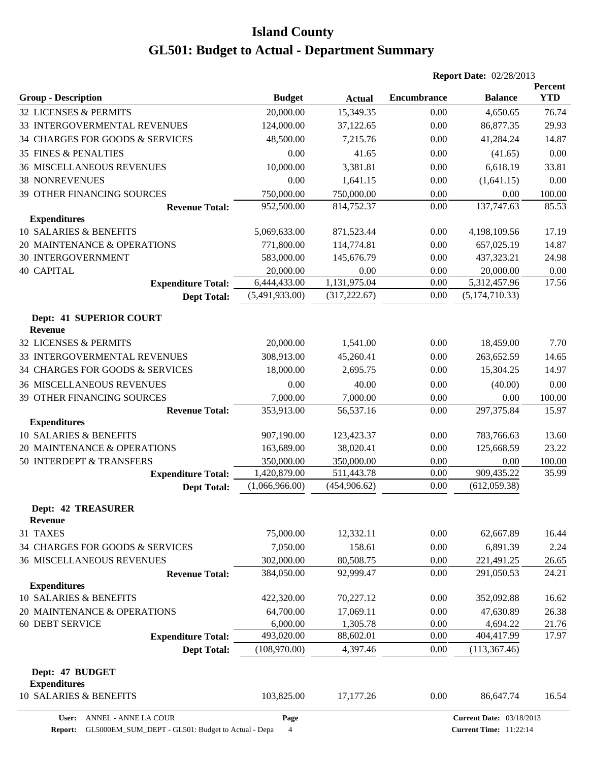|                                             |                                |                             | <b>Report Date: 02/28/2013</b> |                    |                       |
|---------------------------------------------|--------------------------------|-----------------------------|--------------------------------|--------------------|-----------------------|
| <b>Group - Description</b>                  | <b>Budget</b>                  | <b>Actual</b>               | <b>Encumbrance</b>             | <b>Balance</b>     | Percent<br><b>YTD</b> |
| 32 LICENSES & PERMITS                       | 20,000.00                      | 15,349.35                   | 0.00                           | 4,650.65           | 76.74                 |
| 33 INTERGOVERMENTAL REVENUES                | 124,000.00                     | 37,122.65                   | 0.00                           | 86,877.35          | 29.93                 |
| 34 CHARGES FOR GOODS & SERVICES             | 48,500.00                      | 7,215.76                    | 0.00                           | 41,284.24          | 14.87                 |
| <b>35 FINES &amp; PENALTIES</b>             | 0.00                           | 41.65                       | 0.00                           | (41.65)            | 0.00                  |
| <b>36 MISCELLANEOUS REVENUES</b>            | 10,000.00                      | 3,381.81                    | 0.00                           | 6,618.19           | 33.81                 |
| <b>38 NONREVENUES</b>                       | 0.00                           | 1,641.15                    | 0.00                           | (1,641.15)         | 0.00                  |
| <b>39 OTHER FINANCING SOURCES</b>           | 750,000.00                     | 750,000.00                  | 0.00                           | 0.00               | 100.00                |
| <b>Revenue Total:</b>                       | 952,500.00                     | 814,752.37                  | 0.00                           | 137,747.63         | 85.53                 |
| <b>Expenditures</b>                         |                                |                             |                                |                    |                       |
| 10 SALARIES & BENEFITS                      | 5,069,633.00                   | 871,523.44                  | 0.00                           | 4,198,109.56       | 17.19                 |
| 20 MAINTENANCE & OPERATIONS                 | 771,800.00                     | 114,774.81                  | 0.00                           | 657,025.19         | 14.87                 |
| <b>30 INTERGOVERNMENT</b>                   | 583,000.00                     | 145,676.79                  | 0.00                           | 437,323.21         | 24.98                 |
| <b>40 CAPITAL</b>                           | 20,000.00                      | 0.00                        | 0.00                           | 20,000.00          | 0.00                  |
| <b>Expenditure Total:</b>                   | 6,444,433.00                   | 1,131,975.04                | 0.00                           | 5,312,457.96       | 17.56                 |
| <b>Dept Total:</b>                          | (5,491,933.00)                 | (317, 222.67)               | 0.00                           | (5,174,710.33)     |                       |
| Dept: 41 SUPERIOR COURT<br><b>Revenue</b>   |                                |                             |                                |                    |                       |
| 32 LICENSES & PERMITS                       | 20,000.00                      | 1,541.00                    | 0.00                           | 18,459.00          | 7.70                  |
| 33 INTERGOVERMENTAL REVENUES                | 308,913.00                     | 45,260.41                   | 0.00                           | 263,652.59         | 14.65                 |
| 34 CHARGES FOR GOODS & SERVICES             | 18,000.00                      | 2,695.75                    | 0.00                           | 15,304.25          | 14.97                 |
| <b>36 MISCELLANEOUS REVENUES</b>            | 0.00                           | 40.00                       | 0.00                           | (40.00)            | 0.00                  |
| 39 OTHER FINANCING SOURCES                  | 7,000.00                       | 7,000.00                    | 0.00                           | 0.00               | 100.00                |
| <b>Revenue Total:</b>                       | 353,913.00                     | 56,537.16                   | 0.00                           | 297,375.84         | 15.97                 |
| <b>Expenditures</b>                         |                                |                             |                                |                    |                       |
| 10 SALARIES & BENEFITS                      | 907,190.00                     | 123,423.37                  | 0.00                           | 783,766.63         | 13.60                 |
| 20 MAINTENANCE & OPERATIONS                 | 163,689.00                     | 38,020.41                   | 0.00                           | 125,668.59         | 23.22                 |
| 50 INTERDEPT & TRANSFERS                    | 350,000.00                     | 350,000.00                  | 0.00                           | 0.00<br>909,435.22 | 100.00                |
| <b>Expenditure Total:</b>                   | 1,420,879.00<br>(1,066,966.00) | 511,443.78<br>(454, 906.62) | 0.00<br>0.00                   | (612,059.38)       | 35.99                 |
| <b>Dept Total:</b>                          |                                |                             |                                |                    |                       |
| <b>Dept: 42 TREASURER</b><br><b>Revenue</b> |                                |                             |                                |                    |                       |
| 31 TAXES                                    | 75,000.00                      | 12,332.11                   | 0.00                           | 62,667.89          | 16.44                 |
| 34 CHARGES FOR GOODS & SERVICES             | 7,050.00                       | 158.61                      | 0.00                           | 6,891.39           | 2.24                  |
| <b>36 MISCELLANEOUS REVENUES</b>            | 302,000.00                     | 80,508.75                   | 0.00                           | 221,491.25         | 26.65                 |
| <b>Revenue Total:</b>                       | 384,050.00                     | 92,999.47                   | 0.00                           | 291,050.53         | 24.21                 |
| <b>Expenditures</b>                         |                                |                             |                                |                    |                       |
| 10 SALARIES & BENEFITS                      | 422,320.00                     | 70,227.12                   | 0.00                           | 352,092.88         | 16.62                 |
| 20 MAINTENANCE & OPERATIONS                 | 64,700.00                      | 17,069.11                   | 0.00                           | 47,630.89          | 26.38                 |
| 60 DEBT SERVICE                             | 6,000.00                       | 1,305.78                    | 0.00                           | 4,694.22           | 21.76                 |
| <b>Expenditure Total:</b>                   | 493,020.00                     | 88,602.01                   | 0.00                           | 404,417.99         | 17.97                 |
| <b>Dept Total:</b>                          | (108,970.00)                   | 4,397.46                    | 0.00                           | (113, 367.46)      |                       |
| Dept: 47 BUDGET<br><b>Expenditures</b>      |                                |                             |                                |                    |                       |
| 10 SALARIES & BENEFITS                      | 103,825.00                     | 17,177.26                   | 0.00                           | 86,647.74          | 16.54                 |

**Page**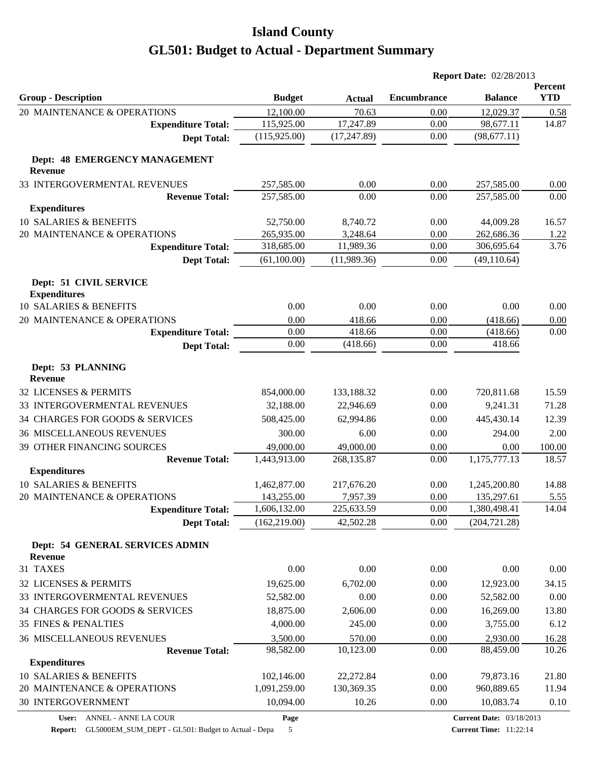|                                                 |               |               | <b>Report Date: 02/28/2013</b> |                |                       |  |
|-------------------------------------------------|---------------|---------------|--------------------------------|----------------|-----------------------|--|
| <b>Group - Description</b>                      | <b>Budget</b> | <b>Actual</b> | <b>Encumbrance</b>             | <b>Balance</b> | Percent<br><b>YTD</b> |  |
| 20 MAINTENANCE & OPERATIONS                     | 12,100.00     | 70.63         | 0.00                           | 12,029.37      | 0.58                  |  |
| <b>Expenditure Total:</b>                       | 115,925.00    | 17,247.89     | 0.00                           | 98,677.11      | 14.87                 |  |
| <b>Dept Total:</b>                              | (115, 925.00) | (17, 247.89)  | 0.00                           | (98, 677.11)   |                       |  |
| Dept: 48 EMERGENCY MANAGEMENT<br><b>Revenue</b> |               |               |                                |                |                       |  |
| 33 INTERGOVERMENTAL REVENUES                    | 257,585.00    | 0.00          | 0.00                           | 257,585.00     | 0.00                  |  |
| <b>Revenue Total:</b>                           | 257,585.00    | 0.00          | 0.00                           | 257,585.00     | 0.00                  |  |
| <b>Expenditures</b>                             |               |               |                                |                |                       |  |
| 10 SALARIES & BENEFITS                          | 52,750.00     | 8,740.72      | 0.00                           | 44,009.28      | 16.57                 |  |
| 20 MAINTENANCE & OPERATIONS                     | 265,935.00    | 3,248.64      | 0.00                           | 262,686.36     | <u>1.22</u>           |  |
| <b>Expenditure Total:</b>                       | 318,685.00    | 11,989.36     | 0.00                           | 306,695.64     | 3.76                  |  |
| <b>Dept Total:</b>                              | (61,100.00)   | (11,989.36)   | 0.00                           | (49, 110.64)   |                       |  |
| Dept: 51 CIVIL SERVICE<br><b>Expenditures</b>   |               |               |                                |                |                       |  |
| 10 SALARIES & BENEFITS                          | 0.00          | 0.00          | 0.00                           | 0.00           | 0.00                  |  |
| 20 MAINTENANCE & OPERATIONS                     | 0.00          | 418.66        | 0.00                           | (418.66)       | 0.00                  |  |
| <b>Expenditure Total:</b>                       | 0.00          | 418.66        | 0.00                           | (418.66)       | 0.00                  |  |
| <b>Dept Total:</b>                              | 0.00          | (418.66)      | 0.00                           | 418.66         |                       |  |
| Dept: 53 PLANNING<br><b>Revenue</b>             |               |               |                                |                |                       |  |
| 32 LICENSES & PERMITS                           | 854,000.00    | 133,188.32    | 0.00                           | 720,811.68     | 15.59                 |  |
| 33 INTERGOVERMENTAL REVENUES                    | 32,188.00     | 22,946.69     | 0.00                           | 9,241.31       | 71.28                 |  |
| 34 CHARGES FOR GOODS & SERVICES                 | 508,425.00    | 62,994.86     | 0.00                           | 445,430.14     | 12.39                 |  |
| <b>36 MISCELLANEOUS REVENUES</b>                | 300.00        | 6.00          | 0.00                           | 294.00         | 2.00                  |  |
| 39 OTHER FINANCING SOURCES                      | 49,000.00     | 49,000.00     | 0.00                           | 0.00           | 100.00                |  |
| <b>Revenue Total:</b>                           | 1,443,913.00  | 268,135.87    | 0.00                           | 1,175,777.13   | 18.57                 |  |
| <b>Expenditures</b>                             |               |               |                                |                |                       |  |
| 10 SALARIES & BENEFITS                          | 1,462,877.00  | 217,676.20    | 0.00                           | 1,245,200.80   | 14.88                 |  |
| 20 MAINTENANCE & OPERATIONS                     | 143,255.00    | 7,957.39      | 0.00                           | 135,297.61     | 5.55                  |  |
| <b>Expenditure Total:</b>                       | 1,606,132.00  | 225,633.59    | 0.00                           | 1,380,498.41   | 14.04                 |  |
| <b>Dept Total:</b>                              | (162, 219.00) | 42,502.28     | 0.00                           | (204, 721.28)  |                       |  |
| Dept: 54 GENERAL SERVICES ADMIN<br>Revenue      |               |               |                                |                |                       |  |
| 31 TAXES                                        | 0.00          | 0.00          | 0.00                           | 0.00           | 0.00                  |  |
| 32 LICENSES & PERMITS                           |               |               |                                | 12,923.00      |                       |  |
|                                                 | 19,625.00     | 6,702.00      | 0.00                           |                | 34.15                 |  |
| 33 INTERGOVERMENTAL REVENUES                    | 52,582.00     | 0.00          | 0.00                           | 52,582.00      | 0.00                  |  |
| 34 CHARGES FOR GOODS & SERVICES                 | 18,875.00     | 2,606.00      | 0.00                           | 16,269.00      | 13.80                 |  |
| <b>35 FINES &amp; PENALTIES</b>                 | 4,000.00      | 245.00        | 0.00                           | 3,755.00       | 6.12                  |  |
| <b>36 MISCELLANEOUS REVENUES</b>                | 3,500.00      | 570.00        | 0.00                           | 2,930.00       | 16.28                 |  |
| <b>Revenue Total:</b><br><b>Expenditures</b>    | 98,582.00     | 10,123.00     | 0.00                           | 88,459.00      | 10.26                 |  |
| 10 SALARIES & BENEFITS                          | 102,146.00    | 22,272.84     | 0.00                           | 79,873.16      | 21.80                 |  |
| 20 MAINTENANCE & OPERATIONS                     | 1,091,259.00  | 130,369.35    | 0.00                           | 960,889.65     | 11.94                 |  |
| 30 INTERGOVERNMENT                              | 10,094.00     | 10.26         | 0.00                           | 10,083.74      | 0.10                  |  |
|                                                 |               |               |                                |                |                       |  |

**Page**

**Report:** GL5000EM\_SUM\_DEPT - GL501: Budget to Actual - Depa 5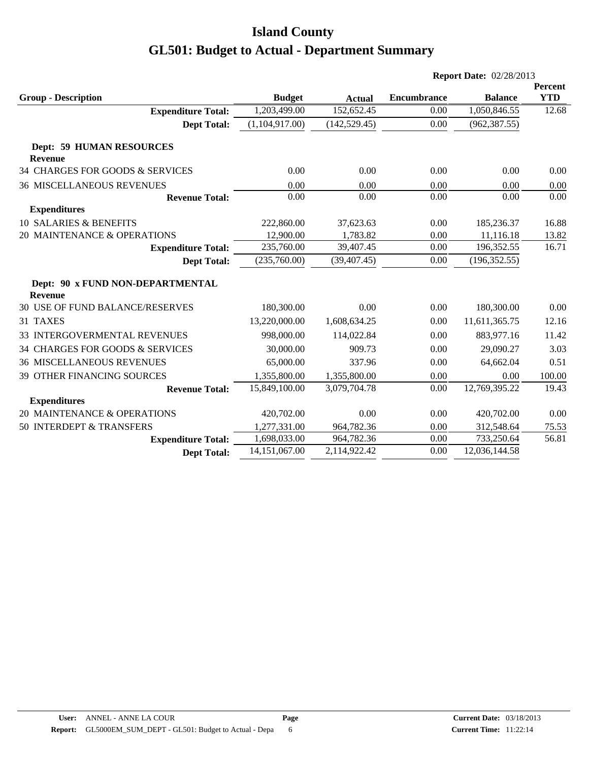|                                                    |                |               | <b>Report Date: 02/28/2013</b> |                |                              |
|----------------------------------------------------|----------------|---------------|--------------------------------|----------------|------------------------------|
| <b>Group - Description</b>                         | <b>Budget</b>  | <b>Actual</b> | <b>Encumbrance</b>             | <b>Balance</b> | <b>Percent</b><br><b>YTD</b> |
| <b>Expenditure Total:</b>                          | 1,203,499.00   | 152,652.45    | 0.00                           | 1,050,846.55   | 12.68                        |
| <b>Dept Total:</b>                                 | (1,104,917.00) | (142, 529.45) | 0.00                           | (962, 387.55)  |                              |
| <b>Dept: 59 HUMAN RESOURCES</b>                    |                |               |                                |                |                              |
| <b>Revenue</b>                                     |                |               |                                |                |                              |
| 34 CHARGES FOR GOODS & SERVICES                    | 0.00           | 0.00          | 0.00                           | 0.00           | 0.00                         |
| <b>36 MISCELLANEOUS REVENUES</b>                   | 0.00           | 0.00          | 0.00                           | 0.00           | 0.00                         |
| <b>Revenue Total:</b>                              | 0.00           | 0.00          | 0.00                           | 0.00           | 0.00                         |
| <b>Expenditures</b>                                |                |               |                                |                |                              |
| <b>10 SALARIES &amp; BENEFITS</b>                  | 222,860.00     | 37,623.63     | 0.00                           | 185,236.37     | 16.88                        |
| 20 MAINTENANCE & OPERATIONS                        | 12,900.00      | 1,783.82      | 0.00                           | 11,116.18      | 13.82                        |
| <b>Expenditure Total:</b>                          | 235,760.00     | 39,407.45     | 0.00                           | 196,352.55     | 16.71                        |
| <b>Dept Total:</b>                                 | (235,760.00)   | (39, 407.45)  | 0.00                           | (196, 352.55)  |                              |
| Dept: 90 x FUND NON-DEPARTMENTAL<br><b>Revenue</b> |                |               |                                |                |                              |
| 30 USE OF FUND BALANCE/RESERVES                    | 180,300.00     | 0.00          | 0.00                           | 180,300.00     | 0.00                         |
| 31 TAXES                                           | 13,220,000.00  | 1,608,634.25  | 0.00                           | 11,611,365.75  | 12.16                        |
| 33 INTERGOVERMENTAL REVENUES                       | 998,000.00     | 114,022.84    | 0.00                           | 883,977.16     | 11.42                        |
| 34 CHARGES FOR GOODS & SERVICES                    | 30,000.00      | 909.73        | 0.00                           | 29,090.27      | 3.03                         |
| <b>36 MISCELLANEOUS REVENUES</b>                   | 65,000.00      | 337.96        | 0.00                           | 64,662.04      | 0.51                         |
| 39 OTHER FINANCING SOURCES                         | 1,355,800.00   | 1,355,800.00  | 0.00                           | 0.00           | 100.00                       |
| <b>Revenue Total:</b>                              | 15,849,100.00  | 3,079,704.78  | 0.00                           | 12,769,395.22  | 19.43                        |
| <b>Expenditures</b>                                |                |               |                                |                |                              |
| 20 MAINTENANCE & OPERATIONS                        | 420,702.00     | 0.00          | 0.00                           | 420,702.00     | 0.00                         |
| 50 INTERDEPT & TRANSFERS                           | 1,277,331.00   | 964,782.36    | 0.00                           | 312,548.64     | 75.53                        |
| <b>Expenditure Total:</b>                          | 1,698,033.00   | 964,782.36    | 0.00                           | 733,250.64     | 56.81                        |
| <b>Dept Total:</b>                                 | 14,151,067.00  | 2,114,922.42  | 0.00                           | 12,036,144.58  |                              |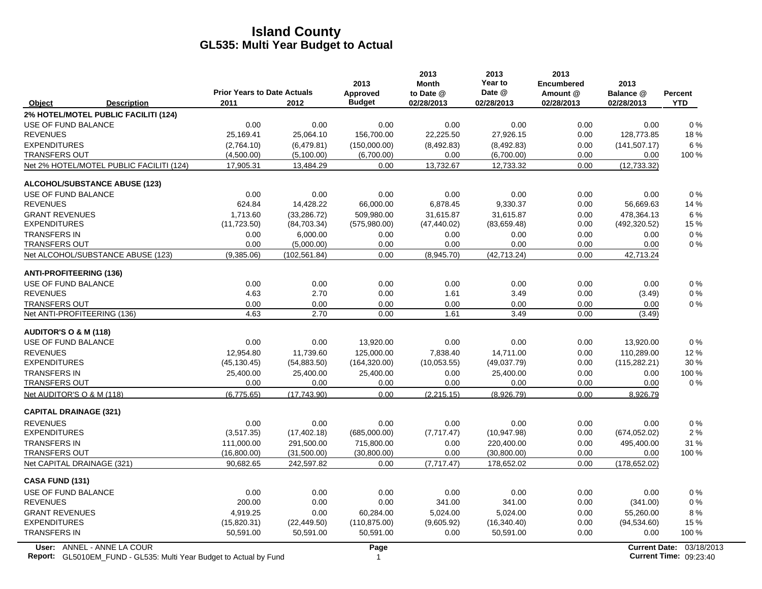|                                                                                                  | <b>Prior Years to Date Actuals</b> |               | 2013<br>Approved | 2013<br><b>Month</b><br>to Date @ | 2013<br>Year to<br>Date @ | 2013<br><b>Encumbered</b><br>Amount @ | 2013<br>Balance @ | <b>Percent</b>                                            |
|--------------------------------------------------------------------------------------------------|------------------------------------|---------------|------------------|-----------------------------------|---------------------------|---------------------------------------|-------------------|-----------------------------------------------------------|
| Object<br><b>Description</b>                                                                     | 2011<br>2012                       |               | <b>Budget</b>    | 02/28/2013                        | 02/28/2013                | 02/28/2013                            | 02/28/2013        | <b>YTD</b>                                                |
| 2% HOTEL/MOTEL PUBLIC FACILITI (124)                                                             |                                    |               |                  |                                   |                           |                                       |                   |                                                           |
| USE OF FUND BALANCE                                                                              | 0.00                               | 0.00          | 0.00             | 0.00                              | 0.00                      | 0.00                                  | 0.00              | 0%                                                        |
| <b>REVENUES</b>                                                                                  | 25,169.41                          | 25,064.10     | 156,700.00       | 22,225.50                         | 27,926.15                 | 0.00                                  | 128,773.85        | 18%                                                       |
| <b>EXPENDITURES</b>                                                                              | (2,764.10)                         | (6,479.81)    | (150,000.00)     | (8,492.83)                        | (8,492.83)                | 0.00                                  | (141, 507.17)     | 6 %                                                       |
| <b>TRANSFERS OUT</b>                                                                             | (4,500.00)                         | (5,100.00)    | (6,700.00)       | 0.00                              | (6,700.00)                | 0.00                                  | 0.00              | 100 %                                                     |
| Net 2% HOTEL/MOTEL PUBLIC FACILITI (124)                                                         | 17,905.31                          | 13,484.29     | 0.00             | 13,732.67                         | 12,733.32                 | 0.00                                  | (12, 733.32)      |                                                           |
| <b>ALCOHOL/SUBSTANCE ABUSE (123)</b>                                                             |                                    |               |                  |                                   |                           |                                       |                   |                                                           |
| USE OF FUND BALANCE                                                                              | 0.00                               | 0.00          | 0.00             | 0.00                              | 0.00                      | 0.00                                  | 0.00              | 0%                                                        |
| <b>REVENUES</b>                                                                                  | 624.84                             | 14,428.22     | 66,000.00        | 6,878.45                          | 9,330.37                  | 0.00                                  | 56,669.63         | 14 %                                                      |
| <b>GRANT REVENUES</b>                                                                            | 1,713.60                           | (33, 286.72)  | 509,980.00       | 31,615.87                         | 31,615.87                 | 0.00                                  | 478,364.13        | 6%                                                        |
| <b>EXPENDITURES</b>                                                                              | (11, 723.50)                       | (84,703.34)   | (575,980.00)     | (47, 440.02)                      | (83,659.48)               | 0.00                                  | (492, 320.52)     | 15 %                                                      |
| <b>TRANSFERS IN</b>                                                                              | 0.00                               | 6,000.00      | 0.00             | 0.00                              | 0.00                      | 0.00                                  | 0.00              | $0\%$                                                     |
| <b>TRANSFERS OUT</b>                                                                             | 0.00                               | (5,000.00)    | 0.00             | 0.00                              | 0.00                      | 0.00                                  | 0.00              | $0\%$                                                     |
| Net ALCOHOL/SUBSTANCE ABUSE (123)                                                                | (9,385.06)                         | (102, 561.84) | 0.00             | (8,945.70)                        | (42, 713.24)              | 0.00                                  | 42,713.24         |                                                           |
| <b>ANTI-PROFITEERING (136)</b>                                                                   |                                    |               |                  |                                   |                           |                                       |                   |                                                           |
| USE OF FUND BALANCE                                                                              | 0.00                               | 0.00          | 0.00             | 0.00                              | 0.00                      | 0.00                                  | 0.00              | 0%                                                        |
| <b>REVENUES</b>                                                                                  | 4.63                               | 2.70          | 0.00             | 1.61                              | 3.49                      | 0.00                                  | (3.49)            | 0%                                                        |
| <b>TRANSFERS OUT</b>                                                                             | 0.00                               | 0.00          | 0.00             | 0.00                              | 0.00                      | 0.00                                  | 0.00              | $0\%$                                                     |
| Net ANTI-PROFITEERING (136)                                                                      | 4.63                               | 2.70          | 0.00             | 1.61                              | 3.49                      | 0.00                                  | (3.49)            |                                                           |
| <b>AUDITOR'S O &amp; M (118)</b>                                                                 |                                    |               |                  |                                   |                           |                                       |                   |                                                           |
| USE OF FUND BALANCE                                                                              | 0.00                               | 0.00          | 13,920.00        | 0.00                              | 0.00                      | 0.00                                  | 13,920.00         | $0\%$                                                     |
| <b>REVENUES</b>                                                                                  | 12,954.80                          | 11,739.60     | 125,000.00       | 7,838.40                          | 14,711.00                 | 0.00                                  | 110,289.00        | 12%                                                       |
| <b>EXPENDITURES</b>                                                                              | (45, 130.45)                       | (54, 883.50)  | (164, 320.00)    | (10,053.55)                       | (49,037.79)               | 0.00                                  | (115, 282.21)     | 30 %                                                      |
| <b>TRANSFERS IN</b>                                                                              | 25,400.00                          | 25,400.00     | 25,400.00        | 0.00                              | 25,400.00                 | 0.00                                  | 0.00              | 100 %                                                     |
| <b>TRANSFERS OUT</b>                                                                             | 0.00                               | 0.00          | 0.00             | 0.00                              | 0.00                      | 0.00                                  | 0.00              | $0\%$                                                     |
| Net AUDITOR'S O & M (118)                                                                        | (6,775.65)                         | (17,743.90)   | 0.00             | (2, 215.15)                       | (8,926.79)                | 0.00                                  | 8,926.79          |                                                           |
| <b>CAPITAL DRAINAGE (321)</b>                                                                    |                                    |               |                  |                                   |                           |                                       |                   |                                                           |
| <b>REVENUES</b>                                                                                  | 0.00                               | 0.00          | 0.00             | 0.00                              | 0.00                      | 0.00                                  | 0.00              | 0%                                                        |
| <b>EXPENDITURES</b>                                                                              | (3,517.35)                         | (17, 402.18)  | (685,000.00)     | (7,717.47)                        | (10, 947.98)              | 0.00                                  | (674, 052.02)     | 2%                                                        |
| <b>TRANSFERS IN</b>                                                                              | 111,000.00                         | 291,500.00    | 715,800.00       | 0.00                              | 220,400.00                | 0.00                                  | 495,400.00        | 31 %                                                      |
| <b>TRANSFERS OUT</b>                                                                             | (16,800.00)                        | (31,500.00)   | (30,800.00)      | 0.00                              | (30,800.00)               | 0.00                                  | 0.00              | 100 %                                                     |
| Net CAPITAL DRAINAGE (321)                                                                       | 90,682.65                          | 242,597.82    | 0.00             | (7,717.47)                        | 178,652.02                | 0.00                                  | (178, 652.02)     |                                                           |
| <b>CASA FUND (131)</b>                                                                           |                                    |               |                  |                                   |                           |                                       |                   |                                                           |
| USE OF FUND BALANCE                                                                              | 0.00                               | 0.00          | 0.00             | 0.00                              | 0.00                      | 0.00                                  | 0.00              | $0\%$                                                     |
| <b>REVENUES</b>                                                                                  | 200.00                             | 0.00          | 0.00             | 341.00                            | 341.00                    | 0.00                                  | (341.00)          | 0%                                                        |
| <b>GRANT REVENUES</b>                                                                            | 4,919.25                           | 0.00          | 60,284.00        | 5,024.00                          | 5,024.00                  | 0.00                                  | 55,260.00         | 8%                                                        |
| <b>EXPENDITURES</b>                                                                              | (15,820.31)                        | (22, 449.50)  | (110, 875.00)    | (9,605.92)                        | (16, 340.40)              | 0.00                                  | (94, 534.60)      | 15 %                                                      |
| <b>TRANSFERS IN</b>                                                                              | 50,591.00                          | 50,591.00     | 50,591.00        | 0.00                              | 50,591.00                 | 0.00                                  | 0.00              | 100 %                                                     |
| User: ANNEL - ANNE LA COUR<br>Report: GL5010EM_FUND - GL535: Multi Year Budget to Actual by Fund |                                    |               | Page<br>1        |                                   |                           |                                       |                   | Current Date: 03/18/2013<br><b>Current Time: 09:23:40</b> |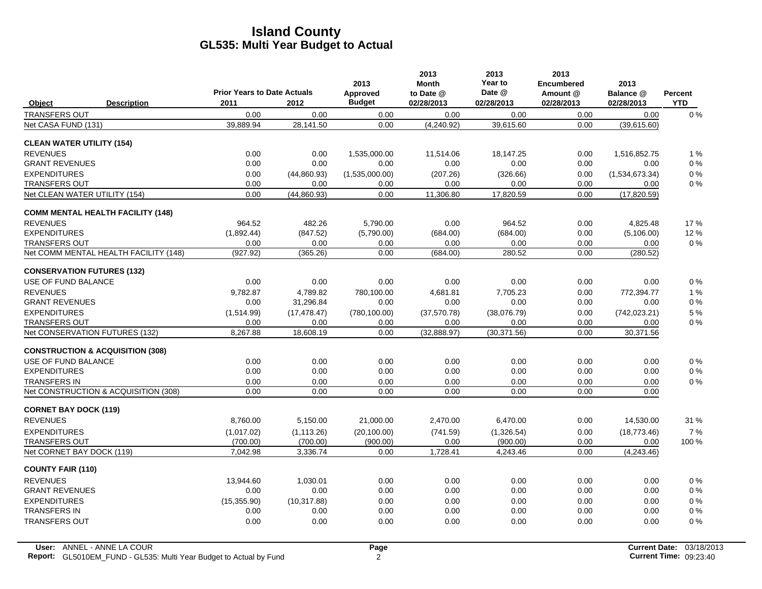|                                             |                                       |                                            |              | 2013                      | 2013<br><b>Month</b>    | 2013<br>Year to      | 2013<br><b>Encumbered</b> | 2013                    |                              |
|---------------------------------------------|---------------------------------------|--------------------------------------------|--------------|---------------------------|-------------------------|----------------------|---------------------------|-------------------------|------------------------------|
| Object                                      | <b>Description</b>                    | <b>Prior Years to Date Actuals</b><br>2011 | 2012         | Approved<br><b>Budget</b> | to Date @<br>02/28/2013 | Date @<br>02/28/2013 | Amount @<br>02/28/2013    | Balance @<br>02/28/2013 | <b>Percent</b><br><b>YTD</b> |
| <b>TRANSFERS OUT</b>                        |                                       | 0.00                                       | 0.00         | 0.00                      | 0.00                    | 0.00                 | 0.00                      | 0.00                    | 0%                           |
| Net CASA FUND (131)                         |                                       | 39,889.94                                  | 28,141.50    | 0.00                      | (4,240.92)              | 39,615.60            | 0.00                      | (39,615.60)             |                              |
| <b>CLEAN WATER UTILITY (154)</b>            |                                       |                                            |              |                           |                         |                      |                           |                         |                              |
| <b>REVENUES</b>                             |                                       | 0.00                                       | 0.00         | 1,535,000.00              | 11,514.06               | 18,147.25            | 0.00                      | 1,516,852.75            | 1%                           |
| <b>GRANT REVENUES</b>                       |                                       | 0.00                                       | 0.00         | 0.00                      | 0.00                    | 0.00                 | 0.00                      | 0.00                    | $0\%$                        |
| <b>EXPENDITURES</b>                         |                                       | 0.00                                       | (44,860.93)  | (1,535,000.00)            | (207.26)                | (326.66)             | 0.00                      | (1,534,673.34)          | $0\%$                        |
| <b>TRANSFERS OUT</b>                        |                                       | 0.00                                       | 0.00         | 0.00                      | 0.00                    | 0.00                 | 0.00                      | 0.00                    | 0%                           |
| Net CLEAN WATER UTILITY (154)               |                                       | 0.00                                       | (44,860.93)  | 0.00                      | 11,306.80               | 17,820.59            | 0.00                      | (17, 820.59)            |                              |
| <b>COMM MENTAL HEALTH FACILITY (148)</b>    |                                       |                                            |              |                           |                         |                      |                           |                         |                              |
| <b>REVENUES</b>                             |                                       | 964.52                                     | 482.26       | 5,790.00                  | 0.00                    | 964.52               | 0.00                      | 4,825.48                | 17%                          |
| <b>EXPENDITURES</b>                         |                                       | (1,892.44)                                 | (847.52)     | (5,790.00)                | (684.00)                | (684.00)             | 0.00                      | (5, 106.00)             | 12 %                         |
| <b>TRANSFERS OUT</b>                        |                                       | 0.00                                       | 0.00         | 0.00                      | 0.00                    | 0.00                 | 0.00                      | 0.00                    | $0\%$                        |
|                                             | Net COMM MENTAL HEALTH FACILITY (148) | (927.92)                                   | (365.26)     | 0.00                      | (684.00)                | 280.52               | 0.00                      | (280.52)                |                              |
| <b>CONSERVATION FUTURES (132)</b>           |                                       |                                            |              |                           |                         |                      |                           |                         |                              |
| USE OF FUND BALANCE                         |                                       | 0.00                                       | 0.00         | 0.00                      | 0.00                    | 0.00                 | 0.00                      | 0.00                    | $0\%$                        |
| <b>REVENUES</b>                             |                                       | 9.782.87                                   | 4.789.82     | 780,100.00                | 4.681.81                | 7.705.23             | 0.00                      | 772,394.77              | 1%                           |
| <b>GRANT REVENUES</b>                       |                                       | 0.00                                       | 31,296.84    | 0.00                      | 0.00                    | 0.00                 | 0.00                      | 0.00                    | $0\%$                        |
| <b>EXPENDITURES</b>                         |                                       | (1,514.99)                                 | (17, 478.47) | (780, 100.00)             | (37,570.78)             | (38,076.79)          | 0.00                      | (742, 023.21)           | 5 %                          |
| <b>TRANSFERS OUT</b>                        |                                       | 0.00                                       | 0.00         | 0.00                      | 0.00                    | 0.00                 | 0.00                      | 0.00                    | $0\%$                        |
| Net CONSERVATION FUTURES (132)              |                                       | 8,267.88                                   | 18,608.19    | 0.00                      | (32,888.97)             | (30, 371.56)         | 0.00                      | 30,371.56               |                              |
| <b>CONSTRUCTION &amp; ACQUISITION (308)</b> |                                       |                                            |              |                           |                         |                      |                           |                         |                              |
| USE OF FUND BALANCE                         |                                       | 0.00                                       | 0.00         | 0.00                      | 0.00                    | 0.00                 | 0.00                      | 0.00                    | $0\%$                        |
| <b>EXPENDITURES</b>                         |                                       | 0.00                                       | 0.00         | 0.00                      | 0.00                    | 0.00                 | 0.00                      | 0.00                    | $0\%$                        |
| <b>TRANSFERS IN</b>                         |                                       | 0.00                                       | 0.00         | 0.00                      | 0.00                    | 0.00                 | 0.00                      | 0.00                    | $0\%$                        |
|                                             | Net CONSTRUCTION & ACQUISITION (308)  | 0.00                                       | 0.00         | 0.00                      | 0.00                    | 0.00                 | 0.00                      | 0.00                    |                              |
| <b>CORNET BAY DOCK (119)</b>                |                                       |                                            |              |                           |                         |                      |                           |                         |                              |
| <b>REVENUES</b>                             |                                       | 8.760.00                                   | 5,150.00     | 21,000.00                 | 2,470.00                | 6.470.00             | 0.00                      | 14,530.00               | 31 %                         |
| <b>EXPENDITURES</b>                         |                                       | (1,017.02)                                 | (1, 113.26)  | (20, 100.00)              | (741.59)                | (1,326.54)           | 0.00                      | (18, 773.46)            | 7%                           |
| <b>TRANSFERS OUT</b>                        |                                       | (700.00)                                   | (700.00)     | (900.00)                  | 0.00                    | (900.00)             | 0.00                      | 0.00                    | 100 %                        |
| Net CORNET BAY DOCK (119)                   |                                       | 7.042.98                                   | 3,336.74     | 0.00                      | 1,728.41                | 4.243.46             | 0.00                      | (4,243.46)              |                              |
| <b>COUNTY FAIR (110)</b>                    |                                       |                                            |              |                           |                         |                      |                           |                         |                              |
| <b>REVENUES</b>                             |                                       | 13,944.60                                  | 1,030.01     | 0.00                      | 0.00                    | 0.00                 | 0.00                      | 0.00                    | $0\%$                        |
| <b>GRANT REVENUES</b>                       |                                       | 0.00                                       | 0.00         | 0.00                      | 0.00                    | 0.00                 | 0.00                      | 0.00                    | $0\%$                        |
| <b>EXPENDITURES</b>                         |                                       | (15, 355.90)                               | (10, 317.88) | 0.00                      | 0.00                    | 0.00                 | 0.00                      | 0.00                    | $0\%$                        |
| <b>TRANSFERS IN</b>                         |                                       | 0.00                                       | 0.00         | 0.00                      | 0.00                    | 0.00                 | 0.00                      | 0.00                    | $0\%$                        |
| <b>TRANSFERS OUT</b>                        |                                       | 0.00                                       | 0.00         | 0.00                      | 0.00                    | 0.00                 | 0.00                      | 0.00                    | 0%                           |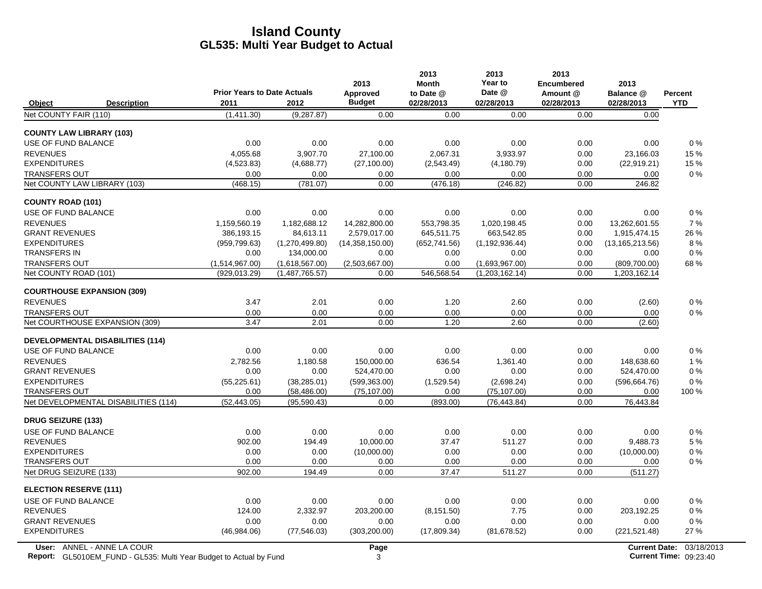|                                               |                                    |                                  | 2013                   | 2013<br><b>Month</b> | 2013<br>Year to                  | 2013<br><b>Encumbered</b> | 2013                          |            |
|-----------------------------------------------|------------------------------------|----------------------------------|------------------------|----------------------|----------------------------------|---------------------------|-------------------------------|------------|
|                                               | <b>Prior Years to Date Actuals</b> |                                  | Approved               | to Date @            | Date @                           | Amount @                  | Balance @                     | Percent    |
| Object<br><b>Description</b>                  | 2011                               | 2012                             | <b>Budget</b>          | 02/28/2013           | 02/28/2013                       | 02/28/2013                | 02/28/2013                    | <b>YTD</b> |
| Net COUNTY FAIR (110)                         | (1,411.30)                         | (9, 287.87)                      | 0.00                   | 0.00                 | 0.00                             | 0.00                      | 0.00                          |            |
| <b>COUNTY LAW LIBRARY (103)</b>               |                                    |                                  |                        |                      |                                  |                           |                               |            |
| USE OF FUND BALANCE                           | 0.00                               | 0.00                             | 0.00                   | 0.00                 | 0.00                             | 0.00                      | 0.00                          | 0%         |
| <b>REVENUES</b>                               | 4,055.68                           | 3,907.70                         | 27,100.00              | 2,067.31             | 3,933.97                         | 0.00                      | 23,166.03                     | 15 %       |
| <b>EXPENDITURES</b>                           | (4,523.83)                         | (4,688.77)                       | (27, 100.00)           | (2,543.49)           | (4, 180.79)                      | 0.00                      | (22, 919.21)                  | 15 %       |
| <b>TRANSFERS OUT</b>                          | 0.00                               | 0.00                             | 0.00                   | 0.00                 | 0.00                             | 0.00                      | 0.00                          | $0\%$      |
| Net COUNTY LAW LIBRARY (103)                  | (468.15)                           | (781.07)                         | 0.00                   | (476.18)             | (246.82)                         | 0.00                      | 246.82                        |            |
| <b>COUNTY ROAD (101)</b>                      |                                    |                                  |                        |                      |                                  |                           |                               |            |
| USE OF FUND BALANCE                           | 0.00                               | 0.00                             | 0.00                   | 0.00                 | 0.00                             | 0.00                      | 0.00                          | 0%         |
| <b>REVENUES</b>                               | 1.159.560.19                       | 1.182.688.12                     | 14.282.800.00          | 553.798.35           | 1.020.198.45                     | 0.00                      | 13.262.601.55                 | 7 %        |
| <b>GRANT REVENUES</b>                         | 386,193.15                         | 84,613.11                        | 2,579,017.00           | 645,511.75           | 663,542.85                       | 0.00                      | 1,915,474.15                  | 26 %       |
| <b>EXPENDITURES</b><br><b>TRANSFERS IN</b>    | (959, 799.63)                      | (1,270,499.80)                   | (14,358,150.00)        | (652, 741.56)        | (1, 192, 936.44)                 | 0.00                      | (13, 165, 213.56)             | 8%         |
|                                               | 0.00                               | 134,000.00                       | 0.00                   | 0.00                 | 0.00                             | 0.00                      | 0.00                          | $0\%$      |
| <b>TRANSFERS OUT</b><br>Net COUNTY ROAD (101) | (1,514,967.00)<br>(929, 013.29)    | (1,618,567.00)<br>(1,487,765.57) | (2.503.667.00)<br>0.00 | 0.00<br>546,568.54   | (1,693,967.00)<br>(1,203,162.14) | 0.00<br>0.00              | (809, 700.00)<br>1,203,162.14 | 68%        |
|                                               |                                    |                                  |                        |                      |                                  |                           |                               |            |
| <b>COURTHOUSE EXPANSION (309)</b>             |                                    |                                  |                        |                      |                                  |                           |                               |            |
| <b>REVENUES</b>                               | 3.47                               | 2.01                             | 0.00                   | 1.20                 | 2.60                             | 0.00                      | (2.60)                        | $0\%$      |
| <b>TRANSFERS OUT</b>                          | 0.00                               | 0.00                             | 0.00                   | 0.00                 | 0.00                             | 0.00                      | 0.00                          | $0\%$      |
| Net COURTHOUSE EXPANSION (309)                | 3.47                               | 2.01                             | 0.00                   | 1.20                 | 2.60                             | 0.00                      | (2.60)                        |            |
| <b>DEVELOPMENTAL DISABILITIES (114)</b>       |                                    |                                  |                        |                      |                                  |                           |                               |            |
| USE OF FUND BALANCE                           | 0.00                               | 0.00                             | 0.00                   | 0.00                 | 0.00                             | 0.00                      | 0.00                          | $0\%$      |
| <b>REVENUES</b>                               | 2.782.56                           | 1,180.58                         | 150.000.00             | 636.54               | 1.361.40                         | 0.00                      | 148.638.60                    | 1%         |
| <b>GRANT REVENUES</b>                         | 0.00                               | 0.00                             | 524,470.00             | 0.00                 | 0.00                             | 0.00                      | 524,470.00                    | $0\%$      |
| <b>EXPENDITURES</b>                           | (55, 225.61)                       | (38, 285.01)                     | (599, 363.00)          | (1,529.54)           | (2,698.24)                       | 0.00                      | (596, 664.76)                 | 0%         |
| <b>TRANSFERS OUT</b>                          | 0.00                               | (58, 486.00)                     | (75, 107.00)           | 0.00                 | (75, 107.00)                     | 0.00                      | 0.00                          | 100 %      |
| Net DEVELOPMENTAL DISABILITIES (114)          | (52, 443.05)                       | (95,590.43)                      | 0.00                   | (893.00)             | (76, 443.84)                     | 0.00                      | 76,443.84                     |            |
| <b>DRUG SEIZURE (133)</b>                     |                                    |                                  |                        |                      |                                  |                           |                               |            |
| USE OF FUND BALANCE                           | 0.00                               | 0.00                             | 0.00                   | 0.00                 | 0.00                             | 0.00                      | 0.00                          | $0\%$      |
| <b>REVENUES</b>                               | 902.00                             | 194.49                           | 10.000.00              | 37.47                | 511.27                           | 0.00                      | 9.488.73                      | 5 %        |
| <b>EXPENDITURES</b>                           | 0.00                               | 0.00                             | (10,000.00)            | 0.00                 | 0.00                             | 0.00                      | (10,000.00)                   | $0\%$      |
| <b>TRANSFERS OUT</b>                          | 0.00                               | 0.00                             | 0.00                   | 0.00                 | 0.00                             | 0.00                      | 0.00                          | $0\%$      |
| Net DRUG SEIZURE (133)                        | 902.00                             | 194.49                           | 0.00                   | 37.47                | 511.27                           | 0.00                      | (511.27)                      |            |
| <b>ELECTION RESERVE (111)</b>                 |                                    |                                  |                        |                      |                                  |                           |                               |            |
| USE OF FUND BALANCE                           | 0.00                               | 0.00                             | 0.00                   | 0.00                 | 0.00                             | 0.00                      | 0.00                          | $0\%$      |
| <b>REVENUES</b>                               | 124.00                             | 2.332.97                         | 203.200.00             | (8, 151.50)          | 7.75                             | 0.00                      | 203.192.25                    | $0\%$      |
| <b>GRANT REVENUES</b>                         | 0.00                               | 0.00                             | 0.00                   | 0.00                 | 0.00                             | 0.00                      | 0.00                          | $0\%$      |
| <b>EXPENDITURES</b>                           | (46,984.06)                        | (77, 546.03)                     | (303, 200.00)          | (17,809.34)          | (81, 678.52)                     | 0.00                      | (221, 521.48)                 | 27 %       |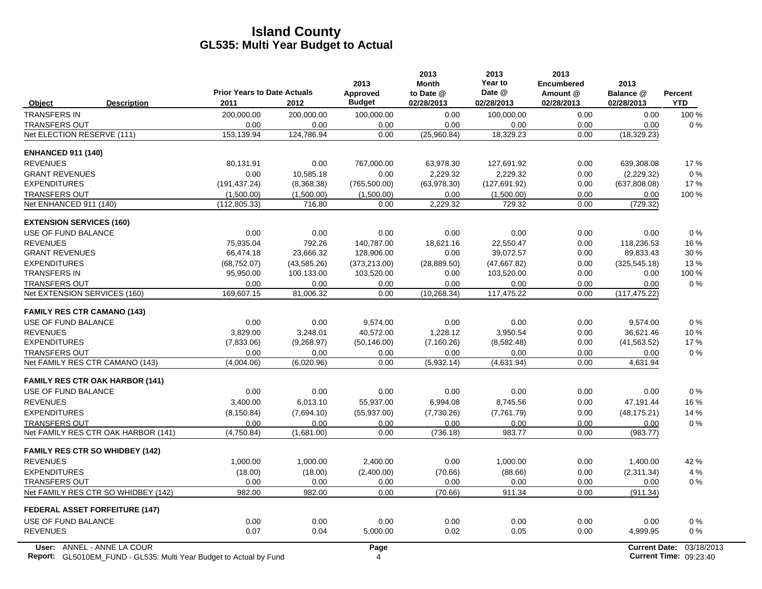|                                        |                                                                           | <b>Prior Years to Date Actuals</b> |             | 2013<br>Approved | 2013<br><b>Month</b><br>to Date @ | 2013<br>Year to<br>Date @ | 2013<br><b>Encumbered</b><br>Amount @ | 2013<br>Balance @    | <b>Percent</b>                |
|----------------------------------------|---------------------------------------------------------------------------|------------------------------------|-------------|------------------|-----------------------------------|---------------------------|---------------------------------------|----------------------|-------------------------------|
| <b>Object</b>                          | <b>Description</b>                                                        | 2011                               | 2012        | <b>Budget</b>    | 02/28/2013                        | 02/28/2013                | 02/28/2013                            | 02/28/2013           | <b>YTD</b>                    |
| <b>TRANSFERS IN</b>                    |                                                                           | 200,000.00                         | 200,000.00  | 100,000.00       | 0.00                              | 100,000.00                | 0.00                                  | 0.00                 | 100 %                         |
| <b>TRANSFERS OUT</b>                   |                                                                           | 0.00                               | 0.00        | 0.00             | 0.00                              | 0.00                      | 0.00                                  | 0.00                 | 0%                            |
| Net ELECTION RESERVE (111)             |                                                                           | 153,139.94                         | 124,786.94  | 0.00             | (25,960.84)                       | 18,329.23                 | 0.00                                  | (18, 329.23)         |                               |
| <b>ENHANCED 911 (140)</b>              |                                                                           |                                    |             |                  |                                   |                           |                                       |                      |                               |
| <b>REVENUES</b>                        |                                                                           | 80,131.91                          | 0.00        | 767,000.00       | 63,978.30                         | 127,691.92                | 0.00                                  | 639,308.08           | 17%                           |
| <b>GRANT REVENUES</b>                  |                                                                           | 0.00                               | 10,585.18   | 0.00             | 2,229.32                          | 2,229.32                  | 0.00                                  | (2,229.32)           | $0\%$                         |
| <b>EXPENDITURES</b>                    |                                                                           | (191, 437.24)                      | (8,368.38)  | (765, 500.00)    | (63,978.30)                       | (127, 691.92)             | 0.00                                  | (637, 808.08)        | 17%                           |
| <b>TRANSFERS OUT</b>                   |                                                                           | (1,500.00)                         | (1,500.00)  | (1,500.00)       | 0.00                              | (1,500.00)                | 0.00                                  | 0.00                 | 100 %                         |
| Net ENHANCED 911 (140)                 |                                                                           | (112, 805.33)                      | 716.80      | 0.00             | 2,229.32                          | 729.32                    | 0.00                                  | (729.32)             |                               |
| <b>EXTENSION SERVICES (160)</b>        |                                                                           |                                    |             |                  |                                   |                           |                                       |                      |                               |
| USE OF FUND BALANCE                    |                                                                           | 0.00                               | 0.00        | 0.00             | 0.00                              | 0.00                      | 0.00                                  | 0.00                 | $0\%$                         |
| <b>REVENUES</b>                        |                                                                           | 75,935.04                          | 792.26      | 140.787.00       | 18.621.16                         | 22,550.47                 | 0.00                                  | 118,236.53           | 16%                           |
| <b>GRANT REVENUES</b>                  |                                                                           | 66,474.18                          | 23,666.32   | 128,906.00       | 0.00                              | 39,072.57                 | 0.00                                  | 89,833.43            | 30 %                          |
| <b>EXPENDITURES</b>                    |                                                                           | (68, 752.07)                       | (43,585.26) | (373, 213.00)    | (28, 889.50)                      | (47,667.82)               | 0.00                                  | (325, 545.18)        | 13%                           |
| <b>TRANSFERS IN</b>                    |                                                                           | 95,950.00                          | 100,133.00  | 103,520.00       | 0.00                              | 103,520.00                | 0.00                                  | 0.00                 | 100 %                         |
| <b>TRANSFERS OUT</b>                   |                                                                           | 0.00                               | 0.00        | 0.00             | 0.00                              | 0.00                      | 0.00                                  | 0.00                 | 0%                            |
| Net EXTENSION SERVICES (160)           |                                                                           | 169,607.15                         | 81,006.32   | 0.00             | (10, 268.34)                      | 117,475.22                | 0.00                                  | (117, 475.22)        |                               |
| <b>FAMILY RES CTR CAMANO (143)</b>     |                                                                           |                                    |             |                  |                                   |                           |                                       |                      |                               |
| USE OF FUND BALANCE                    |                                                                           | 0.00                               | 0.00        | 9,574.00         | 0.00                              | 0.00                      | 0.00                                  | 9,574.00             | 0%                            |
| <b>REVENUES</b>                        |                                                                           | 3,829.00                           | 3,248.01    | 40,572.00        | 1,228.12                          | 3,950.54                  | 0.00                                  | 36,621.46            | 10%                           |
| <b>EXPENDITURES</b>                    |                                                                           | (7,833.06)                         | (9,268.97)  | (50, 146.00)     | (7, 160.26)                       | (8,582.48)                | 0.00                                  | (41, 563.52)         | 17 %                          |
| <b>TRANSFERS OUT</b>                   |                                                                           | 0.00                               | 0.00        | 0.00             | 0.00                              | 0.00                      | 0.00                                  | 0.00                 | 0%                            |
| Net FAMILY RES CTR CAMANO (143)        |                                                                           | (4,004.06)                         | (6,020.96)  | 0.00             | (5,932.14)                        | (4,631.94)                | 0.00                                  | 4,631.94             |                               |
|                                        | <b>FAMILY RES CTR OAK HARBOR (141)</b>                                    |                                    |             |                  |                                   |                           |                                       |                      |                               |
| USE OF FUND BALANCE                    |                                                                           | 0.00                               | 0.00        | 0.00             | 0.00                              | 0.00                      | 0.00                                  | 0.00                 | 0%                            |
| <b>REVENUES</b>                        |                                                                           | 3.400.00                           | 6,013.10    | 55.937.00        | 6.994.08                          | 8.745.56                  | 0.00                                  | 47,191.44            | 16 %                          |
| <b>EXPENDITURES</b>                    |                                                                           | (8, 150.84)                        | (7,694.10)  | (55, 937.00)     | (7,730.26)                        | (7,761.79)                | 0.00                                  | (48, 175.21)         | 14 %                          |
| <b>TRANSFERS OUT</b>                   |                                                                           | 0.00                               | 0.00        | 0.00             | 0.00                              | 0.00                      | 0.00                                  | 0.00                 | $0\%$                         |
|                                        | Net FAMILY RES CTR OAK HARBOR (141)                                       | (4,750.84)                         | (1,681.00)  | 0.00             | (736.18)                          | 983.77                    | 0.00                                  | (983.77)             |                               |
| <b>FAMILY RES CTR SO WHIDBEY (142)</b> |                                                                           |                                    |             |                  |                                   |                           |                                       |                      |                               |
| <b>REVENUES</b>                        |                                                                           | 1,000.00                           | 1,000.00    | 2,400.00         | 0.00                              | 1,000.00                  | 0.00                                  | 1,400.00             | 42 %                          |
| <b>EXPENDITURES</b>                    |                                                                           | (18.00)                            | (18.00)     | (2,400.00)       | (70.66)                           | (88.66)                   | 0.00                                  | (2,311.34)           | 4 %                           |
| <b>TRANSFERS OUT</b>                   |                                                                           | 0.00                               | 0.00        | 0.00             | 0.00                              | 0.00                      | 0.00                                  | 0.00                 | $0\%$                         |
|                                        | Net FAMILY RES CTR SO WHIDBEY (142)                                       | 982.00                             | 982.00      | 0.00             | (70.66)                           | 911.34                    | 0.00                                  | (911.34)             |                               |
| <b>FEDERAL ASSET FORFEITURE (147)</b>  |                                                                           |                                    |             |                  |                                   |                           |                                       |                      |                               |
| USE OF FUND BALANCE                    |                                                                           | 0.00                               | 0.00        | 0.00             | 0.00                              | 0.00                      | 0.00                                  | 0.00                 | 0%                            |
| <b>REVENUES</b>                        |                                                                           | 0.07                               | 0.04        | 5,000.00         | 0.02                              | 0.05                      | 0.00                                  | 4,999.95             | 0%                            |
|                                        | User: ANNEL - ANNE LA COUR                                                |                                    |             | Page             |                                   |                           |                                       | <b>Current Date:</b> | 03/18/2013                    |
|                                        | <b>Report:</b> GL5010EM_FUND - GL535: Multi Year Budget to Actual by Fund |                                    |             | 4                |                                   |                           |                                       |                      | <b>Current Time: 09:23:40</b> |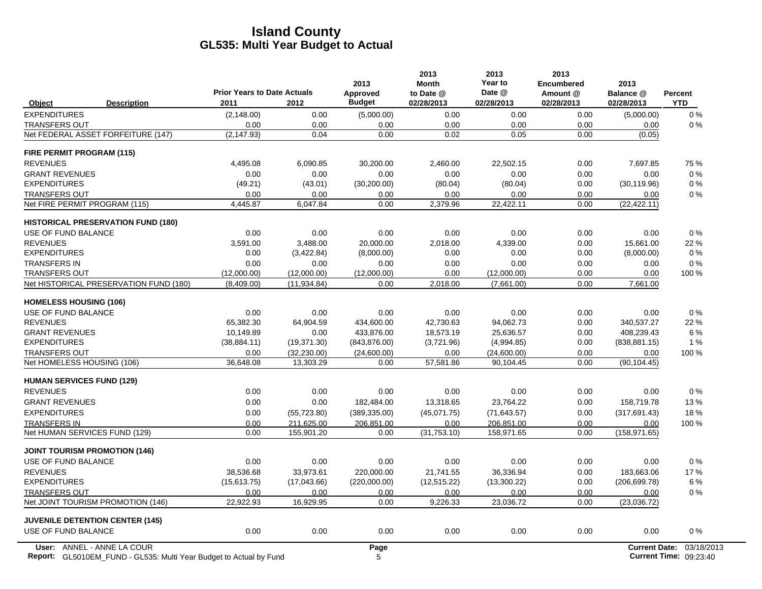|                                           | <b>Prior Years to Date Actuals</b> |              | 2013<br>Approved | 2013<br><b>Month</b><br>to Date @ | 2013<br>Year to<br>Date @ | 2013<br><b>Encumbered</b><br>Amount @ | 2013<br>Balance @    | Percent    |
|-------------------------------------------|------------------------------------|--------------|------------------|-----------------------------------|---------------------------|---------------------------------------|----------------------|------------|
| <b>Description</b><br>Object              | 2011                               | 2012         | <b>Budget</b>    | 02/28/2013                        | 02/28/2013                | 02/28/2013                            | 02/28/2013           | <b>YTD</b> |
| <b>EXPENDITURES</b>                       | (2, 148.00)                        | 0.00         | (5,000.00)       | 0.00                              | 0.00                      | 0.00                                  | (5,000.00)           | 0%         |
| <b>TRANSFERS OUT</b>                      | 0.00                               | 0.00         | 0.00             | 0.00                              | 0.00                      | 0.00                                  | 0.00                 | 0%         |
| Net FEDERAL ASSET FORFEITURE (147)        | (2, 147.93)                        | 0.04         | 0.00             | 0.02                              | 0.05                      | 0.00                                  | (0.05)               |            |
| FIRE PERMIT PROGRAM (115)                 |                                    |              |                  |                                   |                           |                                       |                      |            |
| <b>REVENUES</b>                           | 4,495.08                           | 6,090.85     | 30,200.00        | 2,460.00                          | 22,502.15                 | 0.00                                  | 7,697.85             | 75 %       |
| <b>GRANT REVENUES</b>                     | 0.00                               | 0.00         | 0.00             | 0.00                              | 0.00                      | 0.00                                  | 0.00                 | $0\%$      |
| <b>EXPENDITURES</b>                       | (49.21)                            | (43.01)      | (30, 200.00)     | (80.04)                           | (80.04)                   | 0.00                                  | (30, 119.96)         | 0%         |
| <b>TRANSFERS OUT</b>                      | 0.00                               | 0.00         | 0.00             | 0.00                              | 0.00                      | 0.00                                  | 0.00                 | 0%         |
| Net FIRE PERMIT PROGRAM (115)             | 4,445.87                           | 6,047.84     | 0.00             | 2,379.96                          | 22,422.11                 | 0.00                                  | (22, 422.11)         |            |
| <b>HISTORICAL PRESERVATION FUND (180)</b> |                                    |              |                  |                                   |                           |                                       |                      |            |
| USE OF FUND BALANCE                       | 0.00                               | 0.00         | 0.00             | 0.00                              | 0.00                      | 0.00                                  | 0.00                 | 0%         |
| <b>REVENUES</b>                           | 3,591.00                           | 3,488.00     | 20,000.00        | 2,018.00                          | 4,339.00                  | 0.00                                  | 15,661.00            | 22 %       |
| <b>EXPENDITURES</b>                       | 0.00                               | (3,422.84)   | (8,000.00)       | 0.00                              | 0.00                      | 0.00                                  | (8,000.00)           | 0%         |
| <b>TRANSFERS IN</b>                       | 0.00                               | 0.00         | 0.00             | 0.00                              | 0.00                      | 0.00                                  | 0.00                 | 0%         |
| <b>TRANSFERS OUT</b>                      | (12,000.00)                        | (12,000.00)  | (12,000.00)      | 0.00                              | (12,000.00)               | 0.00                                  | 0.00                 | 100 %      |
| Net HISTORICAL PRESERVATION FUND (180)    | (8,409.00)                         | (11, 934.84) | 0.00             | 2,018.00                          | (7,661.00)                | 0.00                                  | 7,661.00             |            |
| <b>HOMELESS HOUSING (106)</b>             |                                    |              |                  |                                   |                           |                                       |                      |            |
| USE OF FUND BALANCE                       | 0.00                               | 0.00         | 0.00             | 0.00                              | 0.00                      | 0.00                                  | 0.00                 | 0%         |
| <b>REVENUES</b>                           | 65,382.30                          | 64,904.59    | 434,600.00       | 42,730.63                         | 94,062.73                 | 0.00                                  | 340,537.27           | 22 %       |
| <b>GRANT REVENUES</b>                     | 10,149.89                          | 0.00         | 433,876.00       | 18,573.19                         | 25,636.57                 | 0.00                                  | 408,239.43           | 6 %        |
| <b>EXPENDITURES</b>                       | (38, 884.11)                       | (19, 371.30) | (843, 876.00)    | (3,721.96)                        | (4,994.85)                | 0.00                                  | (838, 881.15)        | 1%         |
| <b>TRANSFERS OUT</b>                      | 0.00                               | (32, 230.00) | (24,600.00)      | 0.00                              | (24,600.00)               | 0.00                                  | 0.00                 | 100 %      |
| Net HOMELESS HOUSING (106)                | 36,648.08                          | 13,303.29    | 0.00             | 57,581.86                         | 90,104.45                 | 0.00                                  | (90, 104.45)         |            |
| <b>HUMAN SERVICES FUND (129)</b>          |                                    |              |                  |                                   |                           |                                       |                      |            |
| <b>REVENUES</b>                           | 0.00                               | 0.00         | 0.00             | 0.00                              | 0.00                      | 0.00                                  | 0.00                 | 0%         |
| <b>GRANT REVENUES</b>                     | 0.00                               | 0.00         | 182.484.00       | 13,318.65                         | 23.764.22                 | 0.00                                  | 158,719.78           | 13%        |
| <b>EXPENDITURES</b>                       | 0.00                               | (55, 723.80) | (389, 335.00)    | (45,071.75)                       | (71, 643.57)              | 0.00                                  | (317, 691.43)        | 18%        |
| <b>TRANSFERS IN</b>                       | 0.00                               | 211,625.00   | 206,851.00       | 0.00                              | 206,851.00                | 0.00                                  | 0.00                 | 100 %      |
| Net HUMAN SERVICES FUND (129)             | 0.00                               | 155.901.20   | 0.00             | (31,753.10)                       | 158,971.65                | 0.00                                  | (158, 971.65)        |            |
| <b>JOINT TOURISM PROMOTION (146)</b>      |                                    |              |                  |                                   |                           |                                       |                      |            |
| USE OF FUND BALANCE                       | 0.00                               | 0.00         | 0.00             | 0.00                              | 0.00                      | 0.00                                  | 0.00                 | $0\%$      |
| <b>REVENUES</b>                           | 38.536.68                          | 33.973.61    | 220.000.00       | 21.741.55                         | 36.336.94                 | 0.00                                  | 183.663.06           | 17%        |
| <b>EXPENDITURES</b>                       | (15,613.75)                        | (17,043.66)  | (220,000.00)     | (12, 515.22)                      | (13,300.22)               | 0.00                                  | (206, 699.78)        | 6 %        |
| <b>TRANSFERS OUT</b>                      | 0.00                               | 0.00         | 0.00             | 0.00                              | 0.00                      | 0.00                                  | 0.00                 | 0%         |
| Net JOINT TOURISM PROMOTION (146)         | 22,922.93                          | 16,929.95    | 0.00             | 9,226.33                          | 23,036.72                 | 0.00                                  | (23,036.72)          |            |
| <b>JUVENILE DETENTION CENTER (145)</b>    |                                    |              |                  |                                   |                           |                                       |                      |            |
| USE OF FUND BALANCE                       | 0.00                               | 0.00         | 0.00             | 0.00                              | 0.00                      | 0.00                                  | 0.00                 | 0%         |
| User: ANNEL - ANNE LA COUR                |                                    |              | Page             |                                   |                           |                                       | <b>Current Date:</b> | 03/18/2013 |

Report: GL5010EM\_FUND - GL535: Multi Year Budget to Actual by Fund **Current Time: 5 Actual 2012 12: Actual 201** GL5010EM\_FUND - GL535: Multi Year Budget to Actual by Fund 09:23:40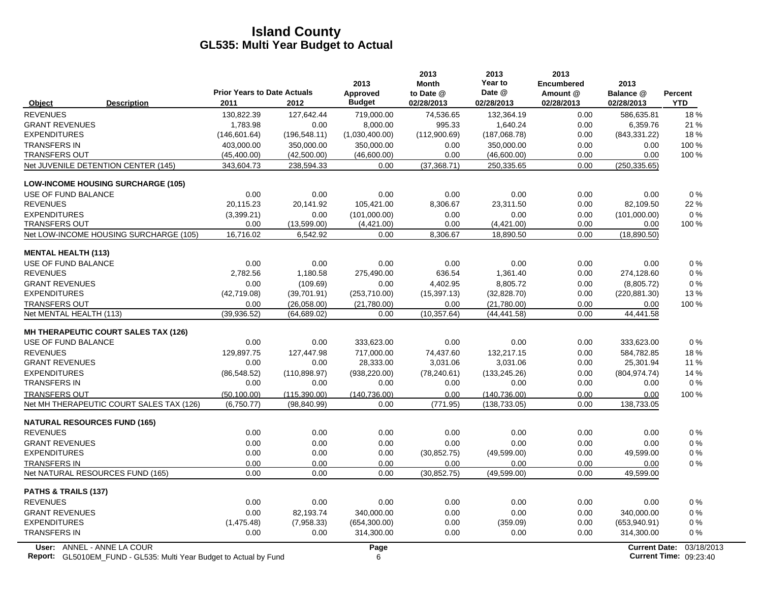|                                                                           | <b>Prior Years to Date Actuals</b> |               | 2013<br>Approved | 2013<br><b>Month</b><br>to Date @ | 2013<br>Year to<br>Date @ | 2013<br><b>Encumbered</b><br>Amount @ | 2013<br>Balance @    | Percent                       |
|---------------------------------------------------------------------------|------------------------------------|---------------|------------------|-----------------------------------|---------------------------|---------------------------------------|----------------------|-------------------------------|
| <b>Description</b><br>Object                                              | 2011                               | 2012          | <b>Budget</b>    | 02/28/2013                        | 02/28/2013                | 02/28/2013                            | 02/28/2013           | <b>YTD</b>                    |
| <b>REVENUES</b>                                                           | 130,822.39                         | 127,642.44    | 719,000.00       | 74,536.65                         | 132,364.19                | 0.00                                  | 586,635.81           | 18%                           |
| <b>GRANT REVENUES</b>                                                     | 1,783.98                           | 0.00          | 8,000.00         | 995.33                            | 1,640.24                  | 0.00                                  | 6,359.76             | 21 %                          |
| <b>EXPENDITURES</b>                                                       | (146, 601.64)                      | (196, 548.11) | (1,030,400.00)   | (112,900.69)                      | (187,068.78)              | 0.00                                  | (843, 331.22)        | 18%                           |
| <b>TRANSFERS IN</b>                                                       | 403,000.00                         | 350.000.00    | 350.000.00       | 0.00                              | 350,000.00                | 0.00                                  | 0.00                 | 100 %                         |
| <b>TRANSFERS OUT</b>                                                      | (45, 400.00)                       | (42,500.00)   | (46,600.00)      | 0.00                              | (46,600.00)               | 0.00                                  | 0.00                 | 100 %                         |
| Net JUVENILE DETENTION CENTER (145)                                       | 343,604.73                         | 238,594.33    | 0.00             | (37, 368.71)                      | 250,335.65                | 0.00                                  | (250, 335.65)        |                               |
| <b>LOW-INCOME HOUSING SURCHARGE (105)</b>                                 |                                    |               |                  |                                   |                           |                                       |                      |                               |
| USE OF FUND BALANCE                                                       | 0.00                               | 0.00          | 0.00             | 0.00                              | 0.00                      | 0.00                                  | 0.00                 | 0%                            |
| <b>REVENUES</b>                                                           | 20,115.23                          | 20,141.92     | 105,421.00       | 8,306.67                          | 23,311.50                 | 0.00                                  | 82,109.50            | 22 %                          |
| <b>EXPENDITURES</b>                                                       | (3,399.21)                         | 0.00          | (101,000.00)     | 0.00                              | 0.00                      | 0.00                                  | (101,000.00)         | $0\%$                         |
| <b>TRANSFERS OUT</b>                                                      | 0.00                               | (13,599.00)   | (4,421.00)       | 0.00                              | (4,421.00)                | 0.00                                  | 0.00                 | 100 %                         |
| Net LOW-INCOME HOUSING SURCHARGE (105)                                    | 16,716.02                          | 6,542.92      | 0.00             | 8,306.67                          | 18,890.50                 | 0.00                                  | (18,890.50)          |                               |
| <b>MENTAL HEALTH (113)</b>                                                |                                    |               |                  |                                   |                           |                                       |                      |                               |
| USE OF FUND BALANCE                                                       | 0.00                               | 0.00          | 0.00             | 0.00                              | 0.00                      | 0.00                                  | 0.00                 | $0\%$                         |
| <b>REVENUES</b>                                                           | 2,782.56                           | 1,180.58      | 275,490.00       | 636.54                            | 1,361.40                  | 0.00                                  | 274,128.60           | $0\%$                         |
| <b>GRANT REVENUES</b>                                                     | 0.00                               | (109.69)      | 0.00             | 4,402.95                          | 8,805.72                  | 0.00                                  | (8,805.72)           | 0%                            |
| <b>EXPENDITURES</b>                                                       | (42,719.08)                        | (39,701.91)   | (253,710.00)     | (15, 397.13)                      | (32,828.70)               | 0.00                                  | (220, 881.30)        | 13%                           |
| <b>TRANSFERS OUT</b>                                                      | 0.00                               | (26,058.00)   | (21,780.00)      | 0.00                              | (21,780.00)               | 0.00                                  | 0.00                 | 100 %                         |
| Net MENTAL HEALTH (113)                                                   | (39, 936.52)                       | (64, 689.02)  | 0.00             | (10, 357.64)                      | (44, 441.58)              | 0.00                                  | 44,441.58            |                               |
| <b>MH THERAPEUTIC COURT SALES TAX (126)</b>                               |                                    |               |                  |                                   |                           |                                       |                      |                               |
| USE OF FUND BALANCE                                                       | 0.00                               | 0.00          | 333,623.00       | 0.00                              | 0.00                      | 0.00                                  | 333,623.00           | $0\%$                         |
| <b>REVENUES</b>                                                           | 129,897.75                         | 127,447.98    | 717.000.00       | 74,437.60                         | 132,217.15                | 0.00                                  | 584,782.85           | 18%                           |
| <b>GRANT REVENUES</b>                                                     | 0.00                               | 0.00          | 28,333.00        | 3,031.06                          | 3,031.06                  | 0.00                                  | 25,301.94            | 11 %                          |
| <b>EXPENDITURES</b>                                                       | (86, 548.52)                       | (110, 898.97) | (938, 220.00)    | (78, 240.61)                      | (133, 245.26)             | 0.00                                  | (804, 974.74)        | 14 %                          |
| <b>TRANSFERS IN</b>                                                       | 0.00                               | 0.00          | 0.00             | 0.00                              | 0.00                      | 0.00                                  | 0.00                 | $0\%$                         |
| <b>TRANSFERS OUT</b>                                                      | (50, 100.00)                       | (115, 390.00) | (140, 736.00)    | 0.00                              | (140, 736.00)             | 0.00                                  | 0.00                 | 100 %                         |
| Net MH THERAPEUTIC COURT SALES TAX (126)                                  | (6,750.77)                         | (98, 840.99)  | 0.00             | (771.95)                          | (138, 733.05)             | 0.00                                  | 138,733.05           |                               |
| <b>NATURAL RESOURCES FUND (165)</b>                                       |                                    |               |                  |                                   |                           |                                       |                      |                               |
| <b>REVENUES</b>                                                           | 0.00                               | 0.00          | 0.00             | 0.00                              | 0.00                      | 0.00                                  | 0.00                 | 0%                            |
| <b>GRANT REVENUES</b>                                                     | 0.00                               | 0.00          | 0.00             | 0.00                              | 0.00                      | 0.00                                  | 0.00                 | $0\%$                         |
| <b>EXPENDITURES</b>                                                       | 0.00                               | 0.00          | 0.00             | (30, 852.75)                      | (49,599.00)               | 0.00                                  | 49,599.00            | $0\%$                         |
| <b>TRANSFERS IN</b>                                                       | 0.00                               | 0.00          | 0.00             | 0.00                              | 0.00                      | 0.00                                  | 0.00                 | 0%                            |
| Net NATURAL RESOURCES FUND (165)                                          | 0.00                               | 0.00          | 0.00             | (30, 852.75)                      | (49, 599.00)              | 0.00                                  | 49,599.00            |                               |
| PATHS & TRAILS (137)                                                      |                                    |               |                  |                                   |                           |                                       |                      |                               |
| <b>REVENUES</b>                                                           | 0.00                               | 0.00          | 0.00             | 0.00                              | 0.00                      | 0.00                                  | 0.00                 | $0\%$                         |
| <b>GRANT REVENUES</b>                                                     | 0.00                               | 82,193.74     | 340,000.00       | 0.00                              | 0.00                      | 0.00                                  | 340,000.00           | 0%                            |
| <b>EXPENDITURES</b>                                                       | (1,475.48)                         | (7,958.33)    | (654, 300.00)    | 0.00                              | (359.09)                  | 0.00                                  | (653,940.91)         | $0\%$                         |
| <b>TRANSFERS IN</b>                                                       | 0.00                               | 0.00          | 314,300.00       | 0.00                              | 0.00                      | 0.00                                  | 314,300.00           | $0\%$                         |
| User: ANNEL - ANNE LA COUR                                                |                                    |               | Page             |                                   |                           |                                       | <b>Current Date:</b> | 03/18/2013                    |
| <b>Report:</b> GL5010EM_FUND - GL535: Multi Year Budget to Actual by Fund |                                    |               | 6                |                                   |                           |                                       |                      | <b>Current Time: 09:23:40</b> |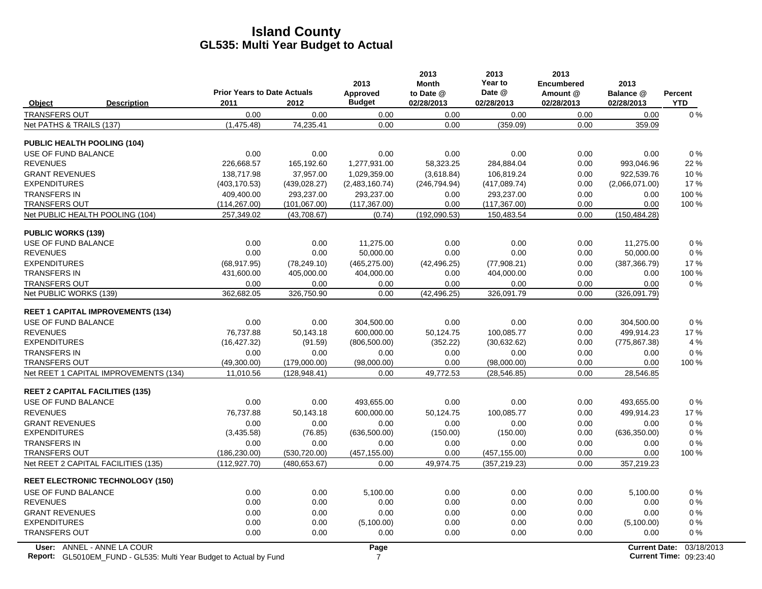|                                                                                                  | <b>Prior Years to Date Actuals</b> |               | 2013<br>Approved       | 2013<br><b>Month</b><br>to Date @ | 2013<br>Year to<br>Date @ | 2013<br>Encumbered<br>Amount @ | 2013<br>Balance @    | <b>Percent</b>                              |
|--------------------------------------------------------------------------------------------------|------------------------------------|---------------|------------------------|-----------------------------------|---------------------------|--------------------------------|----------------------|---------------------------------------------|
| <b>Description</b><br><b>Object</b>                                                              | 2011                               | 2012          | <b>Budget</b>          | 02/28/2013                        | 02/28/2013                | 02/28/2013                     | 02/28/2013           | <b>YTD</b>                                  |
| <b>TRANSFERS OUT</b>                                                                             | 0.00                               | 0.00          | 0.00                   | 0.00                              | 0.00                      | 0.00                           | 0.00                 | $0\%$                                       |
| Net PATHS & TRAILS (137)                                                                         | (1,475.48)                         | 74,235.41     | 0.00                   | 0.00                              | (359.09)                  | 0.00                           | 359.09               |                                             |
| <b>PUBLIC HEALTH POOLING (104)</b>                                                               |                                    |               |                        |                                   |                           |                                |                      |                                             |
| USE OF FUND BALANCE                                                                              | 0.00                               | 0.00          | 0.00                   | 0.00                              | 0.00                      | 0.00                           | 0.00                 | $0\%$                                       |
| <b>REVENUES</b>                                                                                  | 226,668.57                         | 165,192.60    | 1,277,931.00           | 58,323.25                         | 284,884.04                | 0.00                           | 993,046.96           | 22 %                                        |
| <b>GRANT REVENUES</b>                                                                            | 138,717.98                         | 37,957.00     | 1,029,359.00           | (3,618.84)                        | 106,819.24                | 0.00                           | 922,539.76           | 10%                                         |
| <b>EXPENDITURES</b>                                                                              | (403, 170.53)                      | (439, 028.27) | (2,483,160.74)         | (246, 794.94)                     | (417,089.74)              | 0.00                           | (2,066,071.00)       | 17%                                         |
| <b>TRANSFERS IN</b>                                                                              | 409,400.00                         | 293.237.00    | 293,237.00             | 0.00                              | 293,237.00                | 0.00                           | 0.00                 | 100 %                                       |
| <b>TRANSFERS OUT</b>                                                                             | (114, 267.00)                      | (101,067.00)  | (117, 367.00)          | 0.00                              | (117, 367.00)             | 0.00                           | 0.00                 | 100 %                                       |
| Net PUBLIC HEALTH POOLING (104)                                                                  | 257,349.02                         | (43,708.67)   | (0.74)                 | (192,090.53)                      | 150,483.54                | 0.00                           | (150, 484.28)        |                                             |
| <b>PUBLIC WORKS (139)</b>                                                                        |                                    |               |                        |                                   |                           |                                |                      |                                             |
| USE OF FUND BALANCE                                                                              | 0.00                               | 0.00          | 11,275.00              | 0.00                              | 0.00                      | 0.00                           | 11,275.00            | 0%                                          |
| <b>REVENUES</b>                                                                                  | 0.00                               | 0.00          | 50,000.00              | 0.00                              | 0.00                      | 0.00                           | 50,000.00            | $0\%$                                       |
| <b>EXPENDITURES</b>                                                                              | (68, 917.95)                       | (78, 249.10)  | (465, 275.00)          | (42, 496.25)                      | (77,908.21)               | 0.00                           | (387, 366.79)        | 17%                                         |
| <b>TRANSFERS IN</b>                                                                              | 431,600.00                         | 405,000.00    | 404,000.00             | 0.00                              | 404,000.00                | 0.00                           | 0.00                 | 100 %                                       |
| <b>TRANSFERS OUT</b>                                                                             | 0.00                               | 0.00          | 0.00                   | 0.00                              | 0.00                      | 0.00                           | 0.00                 | 0%                                          |
| Net PUBLIC WORKS (139)                                                                           | 362,682.05                         | 326,750.90    | 0.00                   | (42, 496.25)                      | 326,091.79                | 0.00                           | (326,091.79)         |                                             |
| <b>REET 1 CAPITAL IMPROVEMENTS (134)</b>                                                         |                                    |               |                        |                                   |                           |                                |                      |                                             |
| USE OF FUND BALANCE                                                                              | 0.00                               | 0.00          | 304,500.00             | 0.00                              | 0.00                      | 0.00                           | 304,500.00           | $0\%$                                       |
| <b>REVENUES</b>                                                                                  | 76,737.88                          | 50,143.18     | 600,000.00             | 50,124.75                         | 100,085.77                | 0.00                           | 499,914.23           | 17%                                         |
| <b>EXPENDITURES</b>                                                                              | (16, 427.32)                       | (91.59)       | (806, 500.00)          | (352.22)                          | (30,632.62)               | 0.00                           | (775, 867.38)        | 4 %                                         |
| <b>TRANSFERS IN</b>                                                                              | 0.00                               | 0.00          | 0.00                   | 0.00                              | 0.00                      | 0.00                           | 0.00                 | 0%                                          |
| <b>TRANSFERS OUT</b>                                                                             | (49,300.00)                        | (179,000.00)  | (98,000.00)            | 0.00                              | (98,000.00)               | 0.00                           | 0.00                 | 100 %                                       |
| Net REET 1 CAPITAL IMPROVEMENTS (134)                                                            | 11,010.56                          | (128, 948.41) | 0.00                   | 49,772.53                         | (28, 546.85)              | 0.00                           | 28,546.85            |                                             |
| <b>REET 2 CAPITAL FACILITIES (135)</b>                                                           |                                    |               |                        |                                   |                           |                                |                      |                                             |
| USE OF FUND BALANCE                                                                              | 0.00                               | 0.00          | 493,655.00             | 0.00                              | 0.00                      | 0.00                           | 493,655.00           | 0%                                          |
| <b>REVENUES</b>                                                                                  | 76,737.88                          | 50,143.18     | 600,000.00             | 50,124.75                         | 100,085.77                | 0.00                           | 499,914.23           | 17%                                         |
| <b>GRANT REVENUES</b>                                                                            | 0.00                               | 0.00          | 0.00                   | 0.00                              | 0.00                      | 0.00                           | 0.00                 | $0\%$                                       |
| <b>EXPENDITURES</b>                                                                              | (3,435.58)                         | (76.85)       | (636, 500.00)          | (150.00)                          | (150.00)                  | 0.00                           | (636, 350.00)        | $0\%$                                       |
| TRANSFERS IN                                                                                     | 0.00                               | 0.00          | 0.00                   | 0.00                              | 0.00                      | 0.00                           | 0.00                 | $0\%$                                       |
| <b>TRANSFERS OUT</b>                                                                             | (186, 230.00)                      | (530, 720.00) | (457, 155.00)          | 0.00                              | (457, 155.00)             | 0.00                           | 0.00                 | 100 %                                       |
| Net REET 2 CAPITAL FACILITIES (135)                                                              | (112, 927.70)                      | (480, 653.67) | 0.00                   | 49,974.75                         | (357, 219.23)             | 0.00                           | 357,219.23           |                                             |
| <b>REET ELECTRONIC TECHNOLOGY (150)</b>                                                          |                                    |               |                        |                                   |                           |                                |                      |                                             |
| USE OF FUND BALANCE                                                                              | 0.00                               | 0.00          | 5,100.00               | 0.00                              | 0.00                      | 0.00                           | 5,100.00             | $0\%$                                       |
| <b>REVENUES</b>                                                                                  | 0.00                               | 0.00          | 0.00                   | 0.00                              | 0.00                      | 0.00                           | 0.00                 | $0\%$                                       |
| <b>GRANT REVENUES</b>                                                                            | 0.00                               | 0.00          | 0.00                   | 0.00                              | 0.00                      | 0.00                           | 0.00                 | 0%                                          |
| <b>EXPENDITURES</b>                                                                              | 0.00                               | 0.00          | (5,100.00)             | 0.00                              | 0.00                      | 0.00                           | (5,100.00)           | $0\%$                                       |
| <b>TRANSFERS OUT</b>                                                                             | 0.00                               | 0.00          | 0.00                   | 0.00                              | 0.00                      | 0.00                           | 0.00                 | $0\%$                                       |
| User: ANNEL - ANNE LA COUR<br>Report: GL5010EM_FUND - GL535: Multi Year Budget to Actual by Fund |                                    |               | Page<br>$\overline{7}$ |                                   |                           |                                | <b>Current Date:</b> | 03/18/2013<br><b>Current Time: 09:23:40</b> |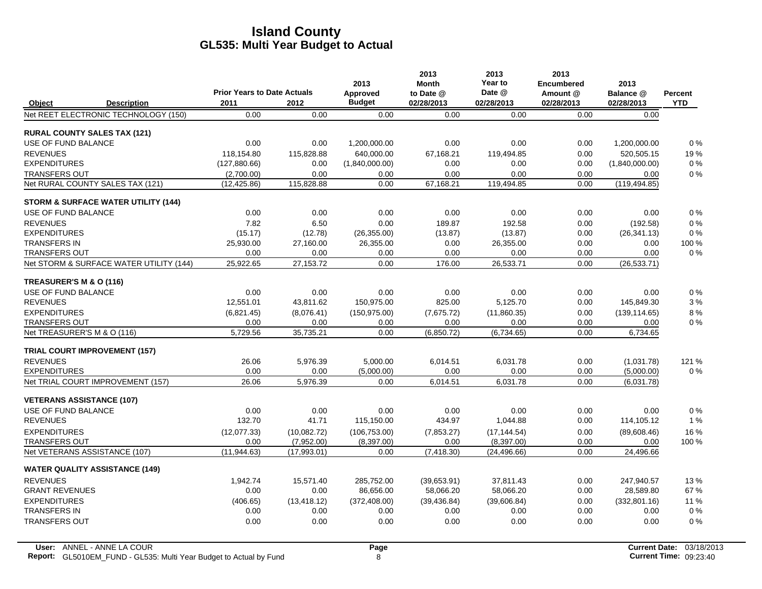|                                       |                                                | <b>Prior Years to Date Actuals</b> |              | 2013                      | 2013<br><b>Month</b>    | 2013<br>Year to<br>Date @ | 2013<br><b>Encumbered</b> | 2013                    |                       |
|---------------------------------------|------------------------------------------------|------------------------------------|--------------|---------------------------|-------------------------|---------------------------|---------------------------|-------------------------|-----------------------|
| <b>Object</b>                         | <b>Description</b>                             | 2011                               | 2012         | Approved<br><b>Budget</b> | to Date @<br>02/28/2013 | 02/28/2013                | Amount @<br>02/28/2013    | Balance @<br>02/28/2013 | Percent<br><b>YTD</b> |
|                                       | Net REET ELECTRONIC TECHNOLOGY (150)           | 0.00                               | 0.00         | 0.00                      | 0.00                    | 0.00                      | 0.00                      | 0.00                    |                       |
| <b>RURAL COUNTY SALES TAX (121)</b>   |                                                |                                    |              |                           |                         |                           |                           |                         |                       |
| USE OF FUND BALANCE                   |                                                | 0.00                               | 0.00         | 1,200,000.00              | 0.00                    | 0.00                      | 0.00                      | 1,200,000.00            | 0%                    |
| <b>REVENUES</b>                       |                                                | 118.154.80                         | 115.828.88   | 640.000.00                | 67.168.21               | 119.494.85                | 0.00                      | 520.505.15              | 19%                   |
| <b>EXPENDITURES</b>                   |                                                | (127, 880.66)                      | 0.00         | (1,840,000.00)            | 0.00                    | 0.00                      | 0.00                      | (1,840,000.00)          | 0%                    |
| <b>TRANSFERS OUT</b>                  |                                                | (2,700.00)                         | 0.00         | 0.00                      | 0.00                    | 0.00                      | 0.00                      | 0.00                    | 0%                    |
| Net RURAL COUNTY SALES TAX (121)      |                                                | (12, 425.86)                       | 115,828.88   | 0.00                      | 67,168.21               | 119,494.85                | 0.00                      | (119, 494.85)           |                       |
|                                       | <b>STORM &amp; SURFACE WATER UTILITY (144)</b> |                                    |              |                           |                         |                           |                           |                         |                       |
| USE OF FUND BALANCE                   |                                                | 0.00                               | 0.00         | 0.00                      | 0.00                    | 0.00                      | 0.00                      | 0.00                    | 0%                    |
| <b>REVENUES</b>                       |                                                | 7.82                               | 6.50         | 0.00                      | 189.87                  | 192.58                    | 0.00                      | (192.58)                | $0\%$                 |
| <b>EXPENDITURES</b>                   |                                                | (15.17)                            | (12.78)      | (26, 355.00)              | (13.87)                 | (13.87)                   | 0.00                      | (26, 341.13)            | 0%                    |
| <b>TRANSFERS IN</b>                   |                                                | 25,930.00                          | 27,160.00    | 26,355.00                 | 0.00                    | 26,355.00                 | 0.00                      | 0.00                    | 100 %                 |
| <b>TRANSFERS OUT</b>                  |                                                | 0.00                               | 0.00         | 0.00                      | 0.00                    | 0.00                      | 0.00                      | 0.00                    | 0%                    |
|                                       | Net STORM & SURFACE WATER UTILITY (144)        | 25,922.65                          | 27,153.72    | 0.00                      | 176.00                  | 26,533.71                 | 0.00                      | (26, 533.71)            |                       |
| TREASURER'S M & O (116)               |                                                |                                    |              |                           |                         |                           |                           |                         |                       |
| USE OF FUND BALANCE                   |                                                | 0.00                               | 0.00         | 0.00                      | 0.00                    | 0.00                      | 0.00                      | 0.00                    | 0%                    |
| <b>REVENUES</b>                       |                                                | 12.551.01                          | 43,811.62    | 150,975.00                | 825.00                  | 5,125.70                  | 0.00                      | 145,849.30              | 3%                    |
| <b>EXPENDITURES</b>                   |                                                | (6,821.45)                         | (8,076.41)   | (150, 975.00)             | (7,675.72)              | (11,860.35)               | 0.00                      | (139, 114.65)           | 8%                    |
| <b>TRANSFERS OUT</b>                  |                                                | 0.00                               | 0.00         | 0.00                      | 0.00                    | 0.00                      | 0.00                      | 0.00                    | $0\%$                 |
| Net TREASURER'S M & O (116)           |                                                | 5,729.56                           | 35,735.21    | 0.00                      | (6,850.72)              | (6,734.65)                | 0.00                      | 6,734.65                |                       |
| <b>TRIAL COURT IMPROVEMENT (157)</b>  |                                                |                                    |              |                           |                         |                           |                           |                         |                       |
| <b>REVENUES</b>                       |                                                | 26.06                              | 5,976.39     | 5,000.00                  | 6,014.51                | 6,031.78                  | 0.00                      | (1,031.78)              | 121 %                 |
| <b>EXPENDITURES</b>                   |                                                | 0.00                               | 0.00         | (5,000.00)                | 0.00                    | 0.00                      | 0.00                      | (5,000.00)              | $0\%$                 |
|                                       | Net TRIAL COURT IMPROVEMENT (157)              | 26.06                              | 5,976.39     | 0.00                      | 6,014.51                | 6,031.78                  | 0.00                      | (6,031.78)              |                       |
| <b>VETERANS ASSISTANCE (107)</b>      |                                                |                                    |              |                           |                         |                           |                           |                         |                       |
| USE OF FUND BALANCE                   |                                                | 0.00                               | 0.00         | 0.00                      | 0.00                    | 0.00                      | 0.00                      | 0.00                    | 0%                    |
| <b>REVENUES</b>                       |                                                | 132.70                             | 41.71        | 115,150.00                | 434.97                  | 1,044.88                  | 0.00                      | 114,105.12              | 1 %                   |
| <b>EXPENDITURES</b>                   |                                                | (12,077.33)                        | (10,082.72)  | (106, 753.00)             | (7,853.27)              | (17, 144.54)              | 0.00                      | (89,608.46)             | 16 %                  |
| <b>TRANSFERS OUT</b>                  |                                                | 0.00                               | (7,952.00)   | (8, 397.00)               | 0.00                    | (8,397.00)                | 0.00                      | 0.00                    | 100 %                 |
| Net VETERANS ASSISTANCE (107)         |                                                | (11, 944.63)                       | (17,993.01)  | 0.00                      | (7,418.30)              | (24, 496.66)              | 0.00                      | 24,496.66               |                       |
| <b>WATER QUALITY ASSISTANCE (149)</b> |                                                |                                    |              |                           |                         |                           |                           |                         |                       |
| <b>REVENUES</b>                       |                                                | 1,942.74                           | 15,571.40    | 285,752.00                | (39,653.91)             | 37,811.43                 | 0.00                      | 247,940.57              | 13%                   |
| <b>GRANT REVENUES</b>                 |                                                | 0.00                               | 0.00         | 86,656.00                 | 58,066.20               | 58,066.20                 | 0.00                      | 28,589.80               | 67%                   |
| <b>EXPENDITURES</b>                   |                                                | (406.65)                           | (13, 418.12) | (372, 408.00)             | (39, 436.84)            | (39,606.84)               | 0.00                      | (332, 801.16)           | 11 %                  |
| <b>TRANSFERS IN</b>                   |                                                | 0.00                               | 0.00         | 0.00                      | 0.00                    | 0.00                      | 0.00                      | 0.00                    | 0%                    |
| <b>TRANSFERS OUT</b>                  |                                                | 0.00                               | 0.00         | 0.00                      | 0.00                    | 0.00                      | 0.00                      | 0.00                    | 0%                    |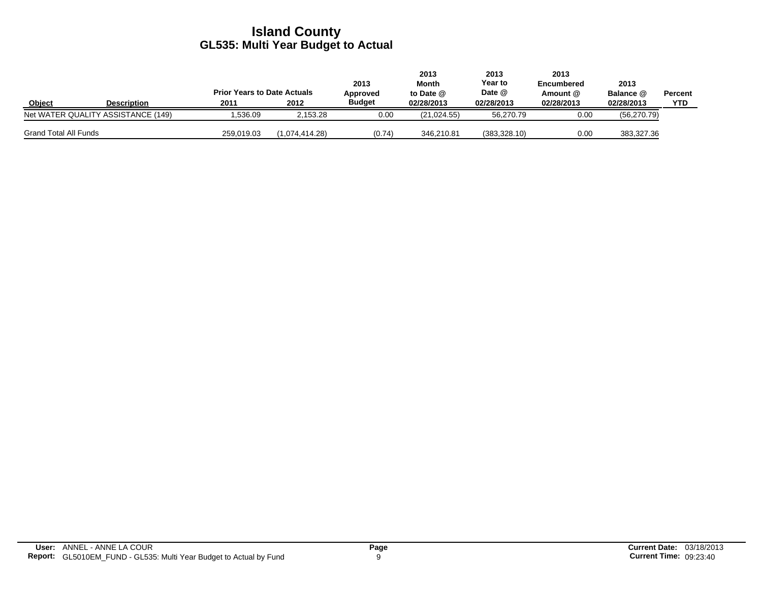|                              |                                    | <b>Prior Years to Date Actuals</b> |                | 2013<br>Approved | 2013<br>Month<br>to Date @ | 2013<br>Year to<br>Date @ | 2013<br>Encumbered<br>Amount @ | 2013<br><b>Balance @</b> | Percent    |
|------------------------------|------------------------------------|------------------------------------|----------------|------------------|----------------------------|---------------------------|--------------------------------|--------------------------|------------|
| Object                       | <b>Description</b>                 | 2011                               | 2012           | <b>Budget</b>    | 02/28/2013                 | 02/28/2013                | 02/28/2013                     | 02/28/2013               | <b>YTD</b> |
|                              | Net WATER QUALITY ASSISTANCE (149) | .536.09                            | 2.153.28       | 0.00             | (21.024.55)                | 56.270.79                 | 0.00                           | (56, 270.79)             |            |
| <b>Grand Total All Funds</b> |                                    | 259,019.03                         | (1.074.414.28) | (0.74)           | 346.210.81                 | (383, 328.10)             | 0.00                           | 383,327.36               |            |